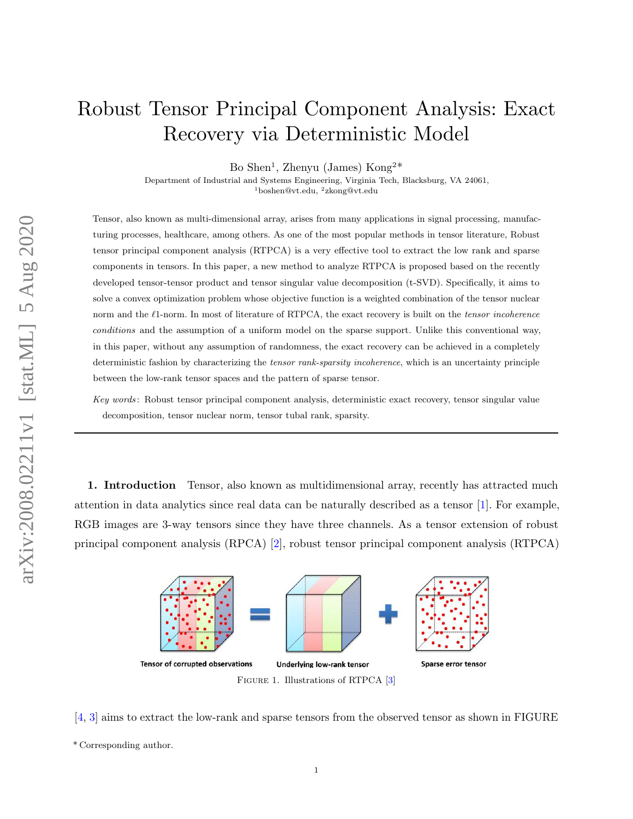## Robust Tensor Principal Component Analysis: Exact Recovery via Deterministic Model

Bo Shen<sup>1</sup>, Zhenyu (James) Kong<sup>2\*</sup>

Department of Industrial and Systems Engineering, Virginia Tech, Blacksburg, VA 24061,

<sup>1</sup>[boshen@vt.edu,](mailto:boshen@vt.edu) <sup>2</sup>[zkong@vt.edu](mailto:zkong@vt.edu)

Tensor, also known as multi-dimensional array, arises from many applications in signal processing, manufacturing processes, healthcare, among others. As one of the most popular methods in tensor literature, Robust tensor principal component analysis (RTPCA) is a very effective tool to extract the low rank and sparse components in tensors. In this paper, a new method to analyze RTPCA is proposed based on the recently developed tensor-tensor product and tensor singular value decomposition (t-SVD). Specifically, it aims to solve a convex optimization problem whose objective function is a weighted combination of the tensor nuclear norm and the  $\ell$ 1-norm. In most of literature of RTPCA, the exact recovery is built on the tensor incoherence conditions and the assumption of a uniform model on the sparse support. Unlike this conventional way, in this paper, without any assumption of randomness, the exact recovery can be achieved in a completely deterministic fashion by characterizing the tensor rank-sparsity incoherence, which is an uncertainty principle between the low-rank tensor spaces and the pattern of sparse tensor.

Key words : Robust tensor principal component analysis, deterministic exact recovery, tensor singular value decomposition, tensor nuclear norm, tensor tubal rank, sparsity.

<span id="page-0-0"></span>1. Introduction Tensor, also known as multidimensional array, recently has attracted much attention in data analytics since real data can be naturally described as a tensor [\[1\]](#page-18-0). For example, RGB images are 3-way tensors since they have three channels. As a tensor extension of robust principal component analysis (RPCA) [\[2\]](#page-18-1), robust tensor principal component analysis (RTPCA)



[\[4,](#page-18-3) [3\]](#page-18-2) aims to extract the low-rank and sparse tensors from the observed tensor as shown in FIGURE

<sup>\*</sup> Corresponding author.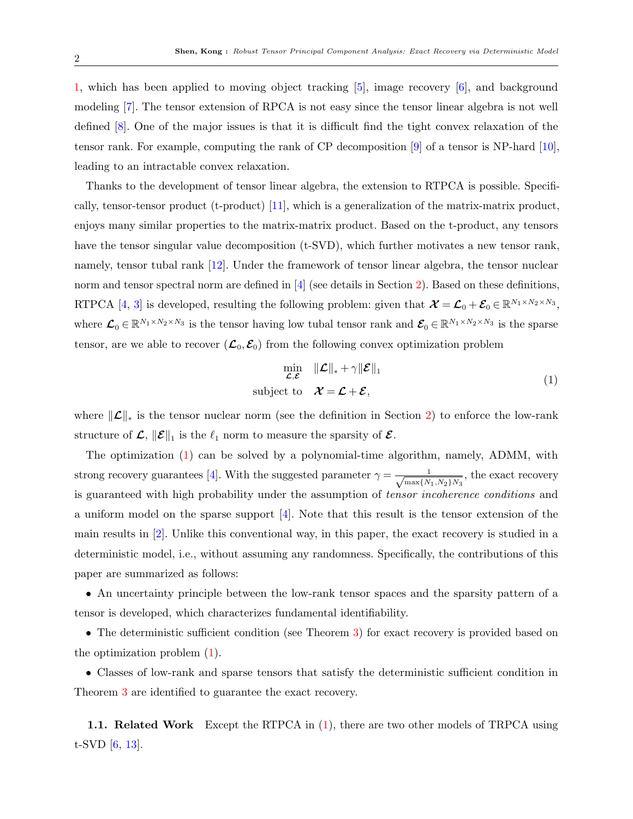[1,](#page-0-0) which has been applied to moving object tracking [\[5\]](#page-18-4), image recovery [\[6\]](#page-18-5), and background modeling [\[7\]](#page-18-6). The tensor extension of RPCA is not easy since the tensor linear algebra is not well defined [\[8\]](#page-18-7). One of the major issues is that it is difficult find the tight convex relaxation of the tensor rank. For example, computing the rank of CP decomposition [\[9\]](#page-19-0) of a tensor is NP-hard [\[10\]](#page-19-1), leading to an intractable convex relaxation.

Thanks to the development of tensor linear algebra, the extension to RTPCA is possible. Specifically, tensor-tensor product (t-product) [\[11\]](#page-19-2), which is a generalization of the matrix-matrix product, enjoys many similar properties to the matrix-matrix product. Based on the t-product, any tensors have the tensor singular value decomposition (t-SVD), which further motivates a new tensor rank, namely, tensor tubal rank [\[12\]](#page-19-3). Under the framework of tensor linear algebra, the tensor nuclear norm and tensor spectral norm are defined in [\[4\]](#page-18-3) (see details in Section [2\)](#page-2-0). Based on these definitions, RTPCA [\[4,](#page-18-3) [3\]](#page-18-2) is developed, resulting the following problem: given that  $\mathcal{X} = \mathcal{L}_0 + \mathcal{E}_0 \in \mathbb{R}^{N_1 \times N_2 \times N_3}$ , where  $\mathcal{L}_0 \in \mathbb{R}^{N_1 \times N_2 \times N_3}$  is the tensor having low tubal tensor rank and  $\mathcal{E}_0 \in \mathbb{R}^{N_1 \times N_2 \times N_3}$  is the sparse tensor, are we able to recover  $(\mathcal{L}_0, \mathcal{E}_0)$  from the following convex optimization problem

<span id="page-1-0"></span>
$$
\min_{\mathcal{L}, \mathcal{E}} \quad \|\mathcal{L}\|_{*} + \gamma \|\mathcal{E}\|_{1}
$$
\nsubject to 
$$
\mathcal{X} = \mathcal{L} + \mathcal{E},
$$
\n(1)

where  $\|\mathcal{L}\|_*$  is the tensor nuclear norm (see the definition in Section [2\)](#page-2-0) to enforce the low-rank structure of  $\mathcal{L}, \|\mathcal{E}\|_1$  is the  $\ell_1$  norm to measure the sparsity of  $\mathcal{E}.$ 

The optimization [\(1\)](#page-1-0) can be solved by a polynomial-time algorithm, namely, ADMM, with strong recovery guarantees [\[4\]](#page-18-3). With the suggested parameter  $\gamma = \frac{1}{\sqrt{N}}$  $\frac{1}{\max\{N_1, N_2\}N_3}$ , the exact recovery is guaranteed with high probability under the assumption of tensor incoherence conditions and a uniform model on the sparse support [\[4\]](#page-18-3). Note that this result is the tensor extension of the main results in [\[2\]](#page-18-1). Unlike this conventional way, in this paper, the exact recovery is studied in a deterministic model, i.e., without assuming any randomness. Specifically, the contributions of this paper are summarized as follows:

• An uncertainty principle between the low-rank tensor spaces and the sparsity pattern of a tensor is developed, which characterizes fundamental identifiability.

• The deterministic sufficient condition (see Theorem [3\)](#page-8-0) for exact recovery is provided based on the optimization problem [\(1\)](#page-1-0).

• Classes of low-rank and sparse tensors that satisfy the deterministic sufficient condition in Theorem [3](#page-8-0) are identified to guarantee the exact recovery.

1.1. Related Work Except the RTPCA in [\(1\)](#page-1-0), there are two other models of TRPCA using t-SVD [\[6,](#page-18-5) [13\]](#page-19-4).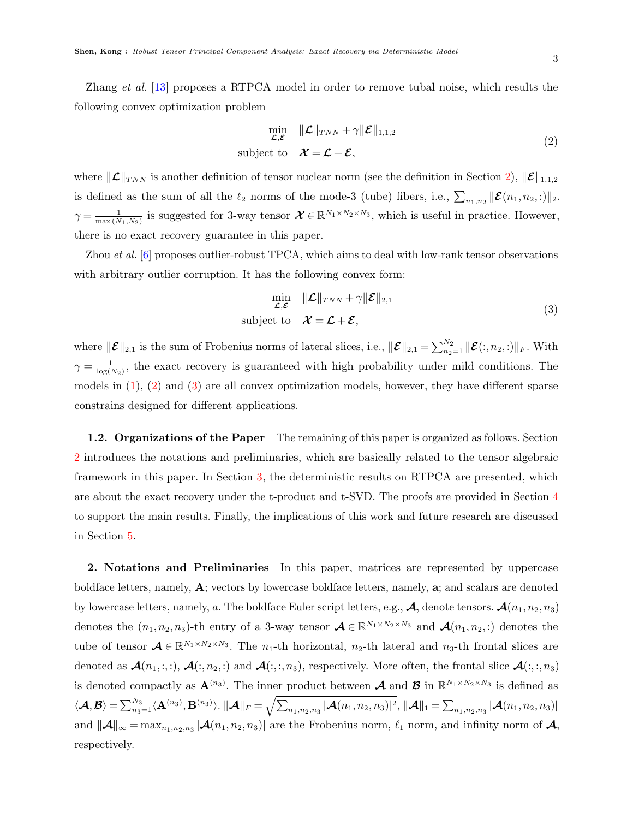Zhang *et al.* [\[13\]](#page-19-4) proposes a RTPCA model in order to remove tubal noise, which results the following convex optimization problem

<span id="page-2-1"></span>
$$
\min_{\mathcal{L}, \mathcal{E}} \quad \|\mathcal{L}\|_{TNN} + \gamma \|\mathcal{E}\|_{1,1,2} \n\text{subject to} \quad \mathcal{X} = \mathcal{L} + \mathcal{E},
$$
\n(2)

where  $\|\mathcal{L}\|_{TNN}$  is another definition of tensor nuclear norm (see the definition in Section [2\)](#page-2-0),  $\|\mathcal{E}\|_{1,1,2}$ is defined as the sum of all the  $\ell_2$  norms of the mode-3 (tube) fibers, i.e.,  $\sum_{n_1,n_2} ||\mathcal{E}(n_1, n_2, :)||_2$ .  $\gamma = \frac{1}{\max(\lambda)}$  $\frac{1}{\max(N_1,N_2)}$  is suggested for 3-way tensor  $\mathcal{X} \in \mathbb{R}^{N_1 \times N_2 \times N_3}$ , which is useful in practice. However, there is no exact recovery guarantee in this paper.

Zhou *et al.* [\[6\]](#page-18-5) proposes outlier-robust TPCA, which aims to deal with low-rank tensor observations with arbitrary outlier corruption. It has the following convex form:

<span id="page-2-2"></span>
$$
\min_{\mathcal{L}, \mathcal{E}} \quad \|\mathcal{L}\|_{TNN} + \gamma \|\mathcal{E}\|_{2,1} \n\text{subject to} \quad \mathcal{X} = \mathcal{L} + \mathcal{E},
$$
\n(3)

where  $\|\mathcal{E}\|_{2,1}$  is the sum of Frobenius norms of lateral slices, i.e.,  $\|\mathcal{E}\|_{2,1} = \sum_{n_2=1}^{N_2} \|\mathcal{E}(:, n_2, :)\|_F$ . With  $\gamma = \frac{1}{\log(1)}$  $\frac{1}{\log(N_2)}$ , the exact recovery is guaranteed with high probability under mild conditions. The models in  $(1)$ ,  $(2)$  and  $(3)$  are all convex optimization models, however, they have different sparse constrains designed for different applications.

1.2. Organizations of the Paper The remaining of this paper is organized as follows. Section [2](#page-2-0) introduces the notations and preliminaries, which are basically related to the tensor algebraic framework in this paper. In Section [3,](#page-6-0) the deterministic results on RTPCA are presented, which are about the exact recovery under the t-product and t-SVD. The proofs are provided in Section [4](#page-9-0) to support the main results. Finally, the implications of this work and future research are discussed in Section [5.](#page-18-8)

<span id="page-2-0"></span>2. Notations and Preliminaries In this paper, matrices are represented by uppercase boldface letters, namely, A; vectors by lowercase boldface letters, namely, a; and scalars are denoted by lowercase letters, namely, a. The boldface Euler script letters, e.g.,  $\mathcal{A}$ , denote tensors.  $\mathcal{A}(n_1, n_2, n_3)$ denotes the  $(n_1, n_2, n_3)$ -th entry of a 3-way tensor  $\mathcal{A} \in \mathbb{R}^{N_1 \times N_2 \times N_3}$  and  $\mathcal{A}(n_1, n_2, ...)$  denotes the tube of tensor  $\mathcal{A} \in \mathbb{R}^{N_1 \times N_2 \times N_3}$ . The  $n_1$ -th horizontal,  $n_2$ -th lateral and  $n_3$ -th frontal slices are denoted as  $\mathcal{A}(n_1, \ldots), \mathcal{A}(\ldots, n_2, \ldots)$  and  $\mathcal{A}(\ldots, n_3)$ , respectively. More often, the frontal slice  $\mathcal{A}(\ldots, n_3)$ is denoted compactly as  $\mathbf{A}^{(n_3)}$ . The inner product between  $\mathcal{A}$  and  $\mathcal{B}$  in  $\mathbb{R}^{N_1 \times N_2 \times N_3}$  is defined as  $\langle\boldsymbol{\mathcal{A}},\boldsymbol{\mathcal{B}}\rangle=\sum_{n_3=1}^{N_3}\langle\mathbf{A}^{(n_3)},\mathbf{B}^{(n_3)}\rangle.$   $\|\boldsymbol{\mathcal{A}}\|_F=\sqrt{\sum_{n_1,n_2,n_3}|\boldsymbol{\mathcal{A}}(n_1,n_2,n_3)|^2},$   $\|\boldsymbol{\mathcal{A}}\|_1=\sum_{n_1,n_2,n_3}|\boldsymbol{\mathcal{A}}(n_1,n_2,n_3)|$ and  $\|\mathcal{A}\|_{\infty} = \max_{n_1, n_2, n_3} |\mathcal{A}(n_1, n_2, n_3)|$  are the Frobenius norm,  $\ell_1$  norm, and infinity norm of  $\mathcal{A}$ , respectively.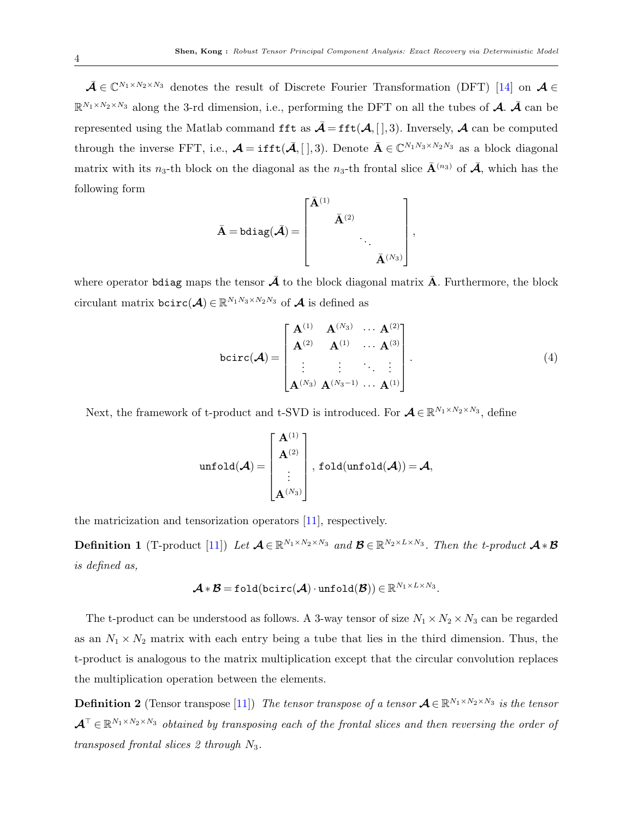$\bar{\mathcal{A}} \in \mathbb{C}^{N_1 \times N_2 \times N_3}$  denotes the result of Discrete Fourier Transformation (DFT) [\[14\]](#page-19-5) on  $\mathcal{A} \in$  $\mathbb{R}^{N_1 \times N_2 \times N_3}$  along the 3-rd dimension, i.e., performing the DFT on all the tubes of  $\mathcal{A}$ .  $\bar{\mathcal{A}}$  can be represented using the Matlab command fft as  $\bar{\mathcal{A}} = \text{fft}(\mathcal{A}, [ \, ], 3)$ . Inversely,  $\mathcal{A}$  can be computed through the inverse FFT, i.e.,  $\mathcal{A} = \text{ifft}(\bar{\mathcal{A}}, [~], 3)$ . Denote  $\bar{A} \in \mathbb{C}^{N_1 N_3 \times N_2 N_3}$  as a block diagonal matrix with its n<sub>3</sub>-th block on the diagonal as the n<sub>3</sub>-th frontal slice  $\bar{\mathbf{A}}^{(n_3)}$  of  $\bar{\mathbf{A}}$ , which has the following form

$$
\bar{\mathbf{A}} = \text{bdiag}(\bar{\mathbf{A}}) = \begin{bmatrix} \bar{\mathbf{A}}^{(1)} & & \\ & \bar{\mathbf{A}}^{(2)} & \\ & & \ddots \\ & & & \bar{\mathbf{A}}^{(N_3)} \end{bmatrix},
$$

where operator belog maps the tensor  $\bar{\mathcal{A}}$  to the block diagonal matrix  $\bar{\mathbf{A}}$ . Furthermore, the block circulant matrix  $\textsf{bcirc}(\mathcal{A}) \in \mathbb{R}^{N_1N_3 \times N_2N_3}$  of  $\mathcal{A}$  is defined as

<span id="page-3-0"></span>
$$
bcirc(\mathcal{A}) = \begin{bmatrix} A^{(1)} & A^{(N_3)} & \cdots & A^{(2)} \\ A^{(2)} & A^{(1)} & \cdots & A^{(3)} \\ \vdots & \vdots & \ddots & \vdots \\ A^{(N_3)} & A^{(N_3-1)} & \cdots & A^{(1)} \end{bmatrix}.
$$
 (4)

Next, the framework of t-product and t-SVD is introduced. For  $\mathcal{A} \in \mathbb{R}^{N_1 \times N_2 \times N_3}$ , define

$$
\texttt{unfold}(\boldsymbol{\mathcal{A}}) = \begin{bmatrix} \mathbf{A}^{(1)} \\ \mathbf{A}^{(2)} \\ \vdots \\ \mathbf{A}^{(N_3)} \end{bmatrix}, \texttt{fold}(\texttt{unfold}(\boldsymbol{\mathcal{A}})) = \boldsymbol{\mathcal{A}},
$$

the matricization and tensorization operators [\[11\]](#page-19-2), respectively.

**Definition 1** (T-product [\[11\]](#page-19-2)) Let  $\mathcal{A} \in \mathbb{R}^{N_1 \times N_2 \times N_3}$  and  $\mathcal{B} \in \mathbb{R}^{N_2 \times L \times N_3}$ . Then the t-product  $\mathcal{A} * \mathcal{B}$ is defined as,

$$
\boldsymbol{\mathcal{A}} * \boldsymbol{\mathcal{B}} = \texttt{fold}(\texttt{bcirc}(\boldsymbol{\mathcal{A}}) \cdot \texttt{unfold}(\boldsymbol{\mathcal{B}})) \in \mathbb{R}^{N_1 \times L \times N_3}.
$$

The t-product can be understood as follows. A 3-way tensor of size  $N_1 \times N_2 \times N_3$  can be regarded as an  $N_1 \times N_2$  matrix with each entry being a tube that lies in the third dimension. Thus, the t-product is analogous to the matrix multiplication except that the circular convolution replaces the multiplication operation between the elements.

**Definition 2** (Tensor transpose [\[11\]](#page-19-2)) The tensor transpose of a tensor  $\mathcal{A} \in \mathbb{R}^{N_1 \times N_2 \times N_3}$  is the tensor  $\mathcal{A}^{\top} \in \mathbb{R}^{N_1 \times N_2 \times N_3}$  obtained by transposing each of the frontal slices and then reversing the order of transposed frontal slices 2 through  $N_3$ .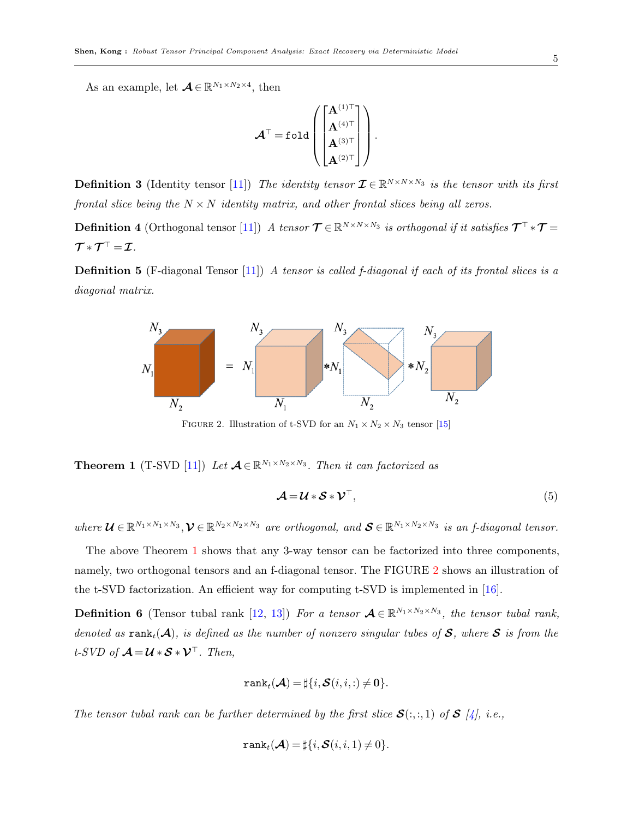As an example, let  $\mathcal{A} \in \mathbb{R}^{N_1 \times N_2 \times 4}$ , then

$$
\mathcal{A}^{\top} = \mathtt{fold}\left(\begin{bmatrix} \mathbf{A}^{(1)\top} \\ \mathbf{A}^{(4)\top} \\ \mathbf{A}^{(3)\top} \\ \mathbf{A}^{(2)\top} \end{bmatrix}\right).
$$

**Definition 3** (Identity tensor [\[11\]](#page-19-2)) The identity tensor  $\mathcal{I} \in \mathbb{R}^{N \times N \times N_3}$  is the tensor with its first frontal slice being the  $N \times N$  identity matrix, and other frontal slices being all zeros.

**Definition 4** (Orthogonal tensor [\[11\]](#page-19-2)) A tensor  $\mathcal{T} \in \mathbb{R}^{N \times N \times N_3}$  is orthogonal if it satisfies  $\mathcal{T}^{\top} * \mathcal{T} =$  $\bm{\mathcal{T}}*\bm{\mathcal{T}}^{\top}=\bm{\mathcal{I}}.$ 

<span id="page-4-1"></span>**Definition 5** (F-diagonal Tensor [\[11\]](#page-19-2)) A tensor is called f-diagonal if each of its frontal slices is a diagonal matrix.



FIGURE 2. Illustration of t-SVD for an  $N_1 \times N_2 \times N_3$  tensor [\[15\]](#page-19-6)

<span id="page-4-0"></span>**Theorem 1** (T-SVD [\[11\]](#page-19-2)) Let  $A \in \mathbb{R}^{N_1 \times N_2 \times N_3}$ . Then it can factorized as

<span id="page-4-2"></span>
$$
\mathcal{A} = \mathcal{U} * \mathcal{S} * \mathcal{V}^\top,\tag{5}
$$

where  $\mathcal{U} \in \mathbb{R}^{N_1 \times N_1 \times N_3}, \mathcal{V} \in \mathbb{R}^{N_2 \times N_2 \times N_3}$  are orthogonal, and  $\mathcal{S} \in \mathbb{R}^{N_1 \times N_2 \times N_3}$  is an f-diagonal tensor.

The above Theorem [1](#page-4-0) shows that any 3-way tensor can be factorized into three components, namely, two orthogonal tensors and an f-diagonal tensor. The FIGURE [2](#page-4-1) shows an illustration of the t-SVD factorization. An efficient way for computing t-SVD is implemented in [\[16\]](#page-19-7).

**Definition 6** (Tensor tubal rank [\[12,](#page-19-3) [13\]](#page-19-4)) For a tensor  $A \in \mathbb{R}^{N_1 \times N_2 \times N_3}$ , the tensor tubal rank, denoted as  $\text{rank}_t(\mathcal{A})$ , is defined as the number of nonzero singular tubes of S, where S is from the t-SVD of  $\mathcal{A} = \mathcal{U} * \mathcal{S} * \mathcal{V}^{\top}$ . Then,

$$
\texttt{rank}_t(\mathcal{A}) = \sharp\{i, \mathcal{S}(i, i, :)\neq \mathbf{0}\}.
$$

The tensor tubal rank can be further determined by the first slice  $\mathcal{S}(:,:,1)$  of  $\mathcal{S}$  [\[4\]](#page-18-3), i.e.,

$$
\texttt{rank}_t(\mathcal{A}) = \sharp\{i, \mathcal{S}(i, i, 1) \neq 0\}.
$$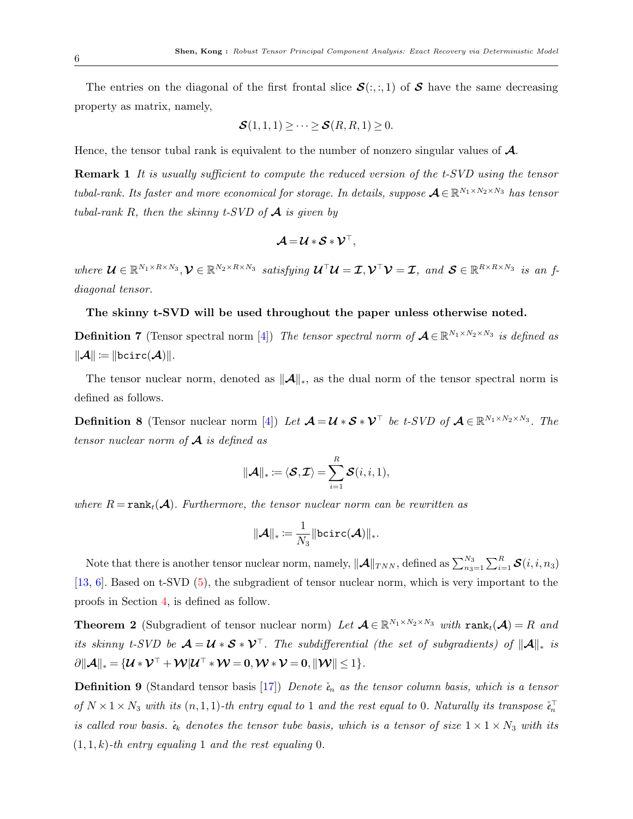The entries on the diagonal of the first frontal slice  $S(:,, 1)$  of S have the same decreasing property as matrix, namely,

$$
\mathcal{S}(1,1,1) \geq \cdots \geq \mathcal{S}(R,R,1) \geq 0.
$$

Hence, the tensor tubal rank is equivalent to the number of nonzero singular values of  $\mathcal{A}$ .

**Remark 1** It is usually sufficient to compute the reduced version of the t-SVD using the tensor tubal-rank. Its faster and more economical for storage. In details, suppose  $\mathcal{A} \in \mathbb{R}^{N_1 \times N_2 \times N_3}$  has tensor tubal-rank R, then the skinny t-SVD of  $\mathcal A$  is given by

$$
\boldsymbol{\mathcal{A}} = \boldsymbol{\mathcal{U}} * \boldsymbol{\mathcal{S}} * \boldsymbol{\mathcal{V}}^\top,
$$

where  $\mathcal{U} \in \mathbb{R}^{N_1 \times R \times N_3}$ ,  $\mathcal{V} \in \mathbb{R}^{N_2 \times R \times N_3}$  satisfying  $\mathcal{U}^\top \mathcal{U} = \mathcal{I}, \mathcal{V}^\top \mathcal{V} = \mathcal{I}$ , and  $\mathcal{S} \in \mathbb{R}^{R \times R \times N_3}$  is an fdiagonal tensor.

## The skinny t-SVD will be used throughout the paper unless otherwise noted.

**Definition 7** (Tensor spectral norm [\[4\]](#page-18-3)) The tensor spectral norm of  $\mathcal{A} \in \mathbb{R}^{N_1 \times N_2 \times N_3}$  is defined as  $\|\boldsymbol{\mathcal{A}}\| \coloneqq \|\texttt{bcirc}(\boldsymbol{\mathcal{A}})\|.$ 

The tensor nuclear norm, denoted as  $\|\mathcal{A}\|_{*}$ , as the dual norm of the tensor spectral norm is defined as follows.

**Definition 8** (Tensor nuclear norm [\[4\]](#page-18-3)) Let  $\mathcal{A} = \mathcal{U} * \mathcal{S} * \mathcal{V}^{\top}$  be t-SVD of  $\mathcal{A} \in \mathbb{R}^{N_1 \times N_2 \times N_3}$ . The tensor nuclear norm of  $\mathcal A$  is defined as

$$
\|\mathcal{A}\|_* \coloneqq \langle \mathcal{S}, \mathcal{I} \rangle = \sum_{i=1}^R \mathcal{S}(i, i, 1),
$$

where  $R = \text{rank}_{t}(\mathcal{A})$ . Furthermore, the tensor nuclear norm can be rewritten as

$$
\|\boldsymbol{\mathcal{A}}\|_*\!\coloneqq\!\frac{1}{N_3}\|\mathtt{bcirc}(\boldsymbol{\mathcal{A}})\|_*.
$$

Note that there is another tensor nuclear norm, namely,  $\|\mathcal{A}\|_{TNN}$ , defined as  $\sum_{n_3=1}^{N_3}\sum_{i=1}^R \mathcal{S}(i, i, n_3)$ [\[13,](#page-19-4) [6\]](#page-18-5). Based on t-SVD [\(5\)](#page-4-2), the subgradient of tensor nuclear norm, which is very important to the proofs in Section [4,](#page-9-0) is defined as follow.

**Theorem 2** (Subgradient of tensor nuclear norm) Let  $\mathcal{A} \in \mathbb{R}^{N_1 \times N_2 \times N_3}$  with rank $_t(\mathcal{A}) = R$  and its skinny t-SVD be  $\mathcal{A} = \mathcal{U} * \mathcal{S} * \mathcal{V}^\top$ . The subdifferential (the set of subgradients) of  $\|\mathcal{A}\|_*$  is  $\partial \|\mathcal{A}\|_* = \{ \mathcal{U} * \mathcal{V}^\top + \mathcal{W} | \mathcal{U}^\top * \mathcal{W} = 0, \mathcal{W} * \mathcal{V} = 0, \|\mathcal{W}\| \leq 1 \}.$ 

**Definition 9** (Standard tensor basis [\[17\]](#page-19-8)) Denote  $\hat{e}_n$  as the tensor column basis, which is a tensor of  $N \times 1 \times N_3$  with its  $(n, 1, 1)$ -th entry equal to 1 and the rest equal to 0. Naturally its transpose  $\mathring{e}_n^{\top}$ is called row basis.  $\dot{e}_k$  denotes the tensor tube basis, which is a tensor of size  $1 \times 1 \times N_3$  with its  $(1, 1, k)$ -th entry equaling 1 and the rest equaling 0.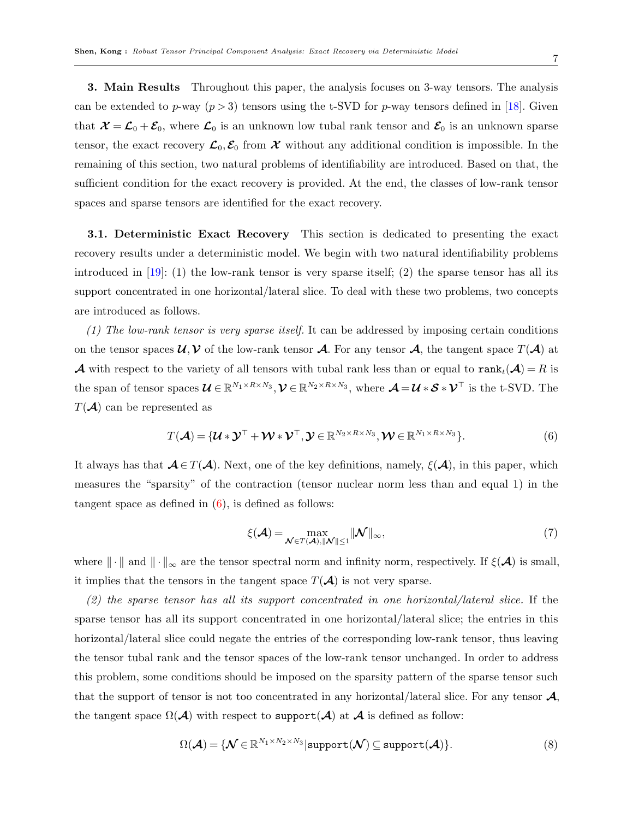7

<span id="page-6-0"></span>3. Main Results Throughout this paper, the analysis focuses on 3-way tensors. The analysis can be extended to p-way  $(p > 3)$  tensors using the t-SVD for p-way tensors defined in [\[18\]](#page-19-9). Given that  $\mathcal{X} = \mathcal{L}_0 + \mathcal{E}_0$ , where  $\mathcal{L}_0$  is an unknown low tubal rank tensor and  $\mathcal{E}_0$  is an unknown sparse tensor, the exact recovery  $\mathcal{L}_0, \mathcal{E}_0$  from X without any additional condition is impossible. In the remaining of this section, two natural problems of identifiability are introduced. Based on that, the sufficient condition for the exact recovery is provided. At the end, the classes of low-rank tensor spaces and sparse tensors are identified for the exact recovery.

3.1. Deterministic Exact Recovery This section is dedicated to presenting the exact recovery results under a deterministic model. We begin with two natural identifiability problems introduced in  $[19]$ : (1) the low-rank tensor is very sparse itself; (2) the sparse tensor has all its support concentrated in one horizontal/lateral slice. To deal with these two problems, two concepts are introduced as follows.

(1) The low-rank tensor is very sparse itself. It can be addressed by imposing certain conditions on the tensor spaces  $\mathcal{U}, \mathcal{V}$  of the low-rank tensor  $\mathcal{A}$ . For any tensor  $\mathcal{A}$ , the tangent space  $T(\mathcal{A})$  at **A** with respect to the variety of all tensors with tubal rank less than or equal to  $\text{rank}_t(\mathcal{A}) = R$  is the span of tensor spaces  $\mathcal{U} \in \mathbb{R}^{N_1 \times R \times N_3}, \mathcal{V} \in \mathbb{R}^{N_2 \times R \times N_3}$ , where  $\mathcal{A} = \mathcal{U} * \mathcal{S} * \mathcal{V}^\top$  is the t-SVD. The  $T(\mathcal{A})$  can be represented as

<span id="page-6-1"></span>
$$
T(\mathcal{A}) = \{ \mathcal{U} * \mathcal{Y}^{\top} + \mathcal{W} * \mathcal{V}^{\top}, \mathcal{Y} \in \mathbb{R}^{N_2 \times R \times N_3}, \mathcal{W} \in \mathbb{R}^{N_1 \times R \times N_3} \}.
$$
\n
$$
(6)
$$

It always has that  $\mathcal{A} \in T(\mathcal{A})$ . Next, one of the key definitions, namely,  $\xi(\mathcal{A})$ , in this paper, which measures the "sparsity" of the contraction (tensor nuclear norm less than and equal 1) in the tangent space as defined in  $(6)$ , is defined as follows:

<span id="page-6-3"></span>
$$
\xi(\mathcal{A}) = \max_{\mathcal{N} \in T(\mathcal{A}), ||\mathcal{N}|| \le 1} ||\mathcal{N}||_{\infty},
$$
\n(7)

where  $\|\cdot\|$  and  $\|\cdot\|_{\infty}$  are the tensor spectral norm and infinity norm, respectively. If  $\xi(\mathcal{A})$  is small, it implies that the tensors in the tangent space  $T(\mathcal{A})$  is not very sparse.

(2) the sparse tensor has all its support concentrated in one horizontal/lateral slice. If the sparse tensor has all its support concentrated in one horizontal/lateral slice; the entries in this horizontal/lateral slice could negate the entries of the corresponding low-rank tensor, thus leaving the tensor tubal rank and the tensor spaces of the low-rank tensor unchanged. In order to address this problem, some conditions should be imposed on the sparsity pattern of the sparse tensor such that the support of tensor is not too concentrated in any horizontal/lateral slice. For any tensor  $\mathcal{A}$ , the tangent space  $\Omega(\mathcal{A})$  with respect to support $(\mathcal{A})$  at  $\mathcal{A}$  is defined as follow:

<span id="page-6-2"></span>
$$
\Omega(\mathcal{A}) = \{ \mathcal{N} \in \mathbb{R}^{N_1 \times N_2 \times N_3} | \text{support}(\mathcal{N}) \subseteq \text{support}(\mathcal{A}) \}. \tag{8}
$$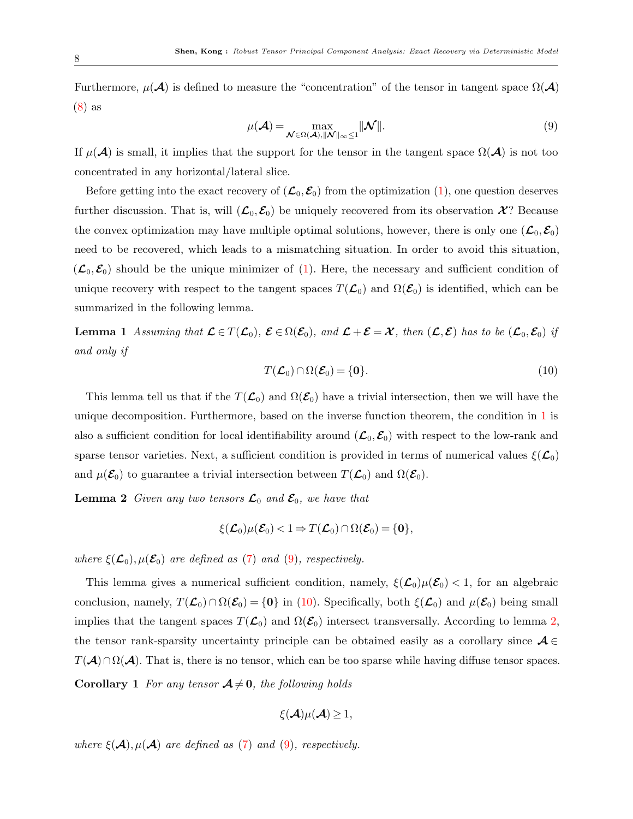Furthermore,  $\mu(\mathcal{A})$  is defined to measure the "concentration" of the tensor in tangent space  $\Omega(\mathcal{A})$ [\(8\)](#page-6-2) as

<span id="page-7-1"></span>
$$
\mu(\mathcal{A}) = \max_{\mathcal{N} \in \Omega(\mathcal{A}), ||\mathcal{N}||_{\infty} \le 1} ||\mathcal{N}||. \tag{9}
$$

If  $\mu(\mathcal{A})$  is small, it implies that the support for the tensor in the tangent space  $\Omega(\mathcal{A})$  is not too concentrated in any horizontal/lateral slice.

Before getting into the exact recovery of  $(\mathcal{L}_0, \mathcal{E}_0)$  from the optimization [\(1\)](#page-1-0), one question deserves further discussion. That is, will  $(\mathcal{L}_0, \mathcal{E}_0)$  be uniquely recovered from its observation  $\mathcal{X}$ ? Because the convex optimization may have multiple optimal solutions, however, there is only one  $(\mathcal{L}_0, \mathcal{E}_0)$ need to be recovered, which leads to a mismatching situation. In order to avoid this situation,  $(\mathcal{L}_0,\mathcal{E}_0)$  should be the unique minimizer of [\(1\)](#page-1-0). Here, the necessary and sufficient condition of unique recovery with respect to the tangent spaces  $T(\mathcal{L}_0)$  and  $\Omega(\mathcal{E}_0)$  is identified, which can be summarized in the following lemma.

<span id="page-7-0"></span>**Lemma 1** Assuming that  $\mathcal{L} \in T(\mathcal{L}_0)$ ,  $\mathcal{E} \in \Omega(\mathcal{E}_0)$ , and  $\mathcal{L} + \mathcal{E} = \mathcal{X}$ , then  $(\mathcal{L}, \mathcal{E})$  has to be  $(\mathcal{L}_0, \mathcal{E}_0)$  if and only if

<span id="page-7-2"></span>
$$
T(\mathcal{L}_0) \cap \Omega(\mathcal{E}_0) = \{0\}.
$$
\n(10)

This lemma tell us that if the  $T(\mathcal{L}_0)$  and  $\Omega(\mathcal{E}_0)$  have a trivial intersection, then we will have the unique decomposition. Furthermore, based on the inverse function theorem, the condition in [1](#page-7-0) is also a sufficient condition for local identifiability around  $(\mathcal{L}_0, \mathcal{E}_0)$  with respect to the low-rank and sparse tensor varieties. Next, a sufficient condition is provided in terms of numerical values  $\xi(\mathcal{L}_0)$ and  $\mu(\mathcal{E}_0)$  to guarantee a trivial intersection between  $T(\mathcal{L}_0)$  and  $\Omega(\mathcal{E}_0)$ .

<span id="page-7-3"></span>**Lemma 2** Given any two tensors  $\mathcal{L}_0$  and  $\mathcal{E}_0$ , we have that

$$
\xi(\mathcal{L}_0)\mu(\mathcal{E}_0)<1 \Rightarrow T(\mathcal{L}_0)\cap\Omega(\mathcal{E}_0)=\{0\},\
$$

where  $\xi(\mathcal{L}_0), \mu(\mathcal{E}_0)$  are defined as [\(7\)](#page-6-3) and [\(9\)](#page-7-1), respectively.

This lemma gives a numerical sufficient condition, namely,  $\xi(\mathcal{L}_0)\mu(\mathcal{E}_0) < 1$ , for an algebraic conclusion, namely,  $T(\mathcal{L}_0) \cap \Omega(\mathcal{E}_0) = \{0\}$  in [\(10\)](#page-7-2). Specifically, both  $\xi(\mathcal{L}_0)$  and  $\mu(\mathcal{E}_0)$  being small implies that the tangent spaces  $T(\mathcal{L}_0)$  and  $\Omega(\mathcal{E}_0)$  intersect transversally. According to lemma [2,](#page-7-3) the tensor rank-sparsity uncertainty principle can be obtained easily as a corollary since  $A \in$  $T(\mathcal{A}) \cap \Omega(\mathcal{A})$ . That is, there is no tensor, which can be too sparse while having diffuse tensor spaces.

**Corollary 1** For any tensor  $A \neq 0$ , the following holds

$$
\xi(\mathcal{A})\mu(\mathcal{A})\geq 1,
$$

where  $\xi(\mathcal{A}), \mu(\mathcal{A})$  are defined as [\(7\)](#page-6-3) and [\(9\)](#page-7-1), respectively.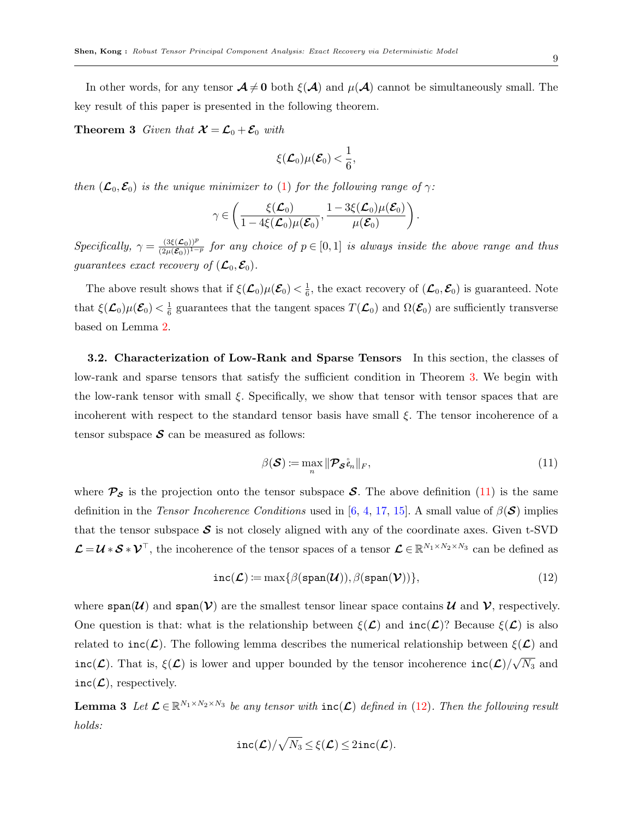In other words, for any tensor  $\mathcal{A} \neq 0$  both  $\xi(\mathcal{A})$  and  $\mu(\mathcal{A})$  cannot be simultaneously small. The key result of this paper is presented in the following theorem.

<span id="page-8-0"></span>**Theorem 3** Given that  $\mathcal{X} = \mathcal{L}_0 + \mathcal{E}_0$  with

$$
\xi(\mathcal{L}_0)\mu(\mathcal{E}_0)<\frac{1}{6},
$$

then  $(\mathcal{L}_0, \mathcal{E}_0)$  is the unique minimizer to [\(1\)](#page-1-0) for the following range of  $\gamma$ :

$$
\gamma \in \left(\frac{\xi(\mathcal{L}_0)}{1-4\xi(\mathcal{L}_0)\mu(\mathcal{E}_0)}, \frac{1-3\xi(\mathcal{L}_0)\mu(\mathcal{E}_0)}{\mu(\mathcal{E}_0)}\right).
$$

Specifically,  $\gamma = \frac{(3\xi(\mathcal{L}_0))^p}{(2\mu(\mathcal{E}_0))^{1-p}}$  for any choice of  $p \in [0,1]$  is always inside the above range and thus guarantees exact recovery of  $(\mathcal{L}_0, \mathcal{E}_0)$ .

The above result shows that if  $\xi(\mathcal{L}_0)\mu(\mathcal{E}_0) < \frac{1}{6}$  $\frac{1}{6}$ , the exact recovery of  $(\mathcal{L}_0, \mathcal{E}_0)$  is guaranteed. Note that  $\xi(\mathcal{L}_0)\mu(\mathcal{E}_0) < \frac{1}{6}$  $\frac{1}{6}$  guarantees that the tangent spaces  $T(\mathcal{L}_0)$  and  $\Omega(\mathcal{E}_0)$  are sufficiently transverse based on Lemma [2.](#page-7-3)

3.2. Characterization of Low-Rank and Sparse Tensors In this section, the classes of low-rank and sparse tensors that satisfy the sufficient condition in Theorem [3.](#page-8-0) We begin with the low-rank tensor with small  $\xi$ . Specifically, we show that tensor with tensor spaces that are incoherent with respect to the standard tensor basis have small  $\xi$ . The tensor incoherence of a tensor subspace  $\mathcal S$  can be measured as follows:

<span id="page-8-1"></span>
$$
\beta(\mathcal{S}) := \max_{n} \|\mathcal{P}_{\mathcal{S}}\mathring{e}_n\|_F, \tag{11}
$$

where  $\mathcal{P}_{\mathcal{S}}$  is the projection onto the tensor subspace  $\mathcal{S}$ . The above definition [\(11\)](#page-8-1) is the same definition in the Tensor Incoherence Conditions used in [\[6,](#page-18-5) [4,](#page-18-3) [17,](#page-19-8) [15\]](#page-19-6). A small value of  $\beta(\mathcal{S})$  implies that the tensor subspace  $S$  is not closely aligned with any of the coordinate axes. Given t-SVD  $\mathcal{L} = \mathcal{U} * \mathcal{S} * \mathcal{V}^{\top}$ , the incoherence of the tensor spaces of a tensor  $\mathcal{L} \in \mathbb{R}^{N_1 \times N_2 \times N_3}$  can be defined as

<span id="page-8-2"></span>
$$
\text{inc}(\mathcal{L}) \coloneqq \max\{\beta(\text{span}(\mathcal{U})), \beta(\text{span}(\mathcal{V}))\},\tag{12}
$$

where  $\text{span}(\mathcal{U})$  and  $\text{span}(\mathcal{V})$  are the smallest tensor linear space contains  $\mathcal{U}$  and  $\mathcal{V}$ , respectively. One question is that: what is the relationship between  $\xi(\mathcal{L})$  and  $inc(\mathcal{L})$ ? Because  $\xi(\mathcal{L})$  is also related to inc( $\mathcal{L}$ ). The following lemma describes the numerical relationship between  $\xi(\mathcal{L})$  and  $inc(\mathcal{L})$ . That is,  $\xi(\mathcal{L})$  is lower and upper bounded by the tensor incoherence  $inc(\mathcal{L})/$ √  $\overline{N_3}$  and  $inc(\mathcal{L})$ , respectively.

<span id="page-8-3"></span>**Lemma 3** Let  $\mathcal{L} \in \mathbb{R}^{N_1 \times N_2 \times N_3}$  be any tensor with  $inc(\mathcal{L})$  defined in [\(12\)](#page-8-2). Then the following result holds:

$$
\mathtt{inc}(\boldsymbol{\mathcal{L}})/\sqrt{N_3} \leq \xi(\boldsymbol{\mathcal{L}}) \leq 2\mathtt{inc}(\boldsymbol{\mathcal{L}}).
$$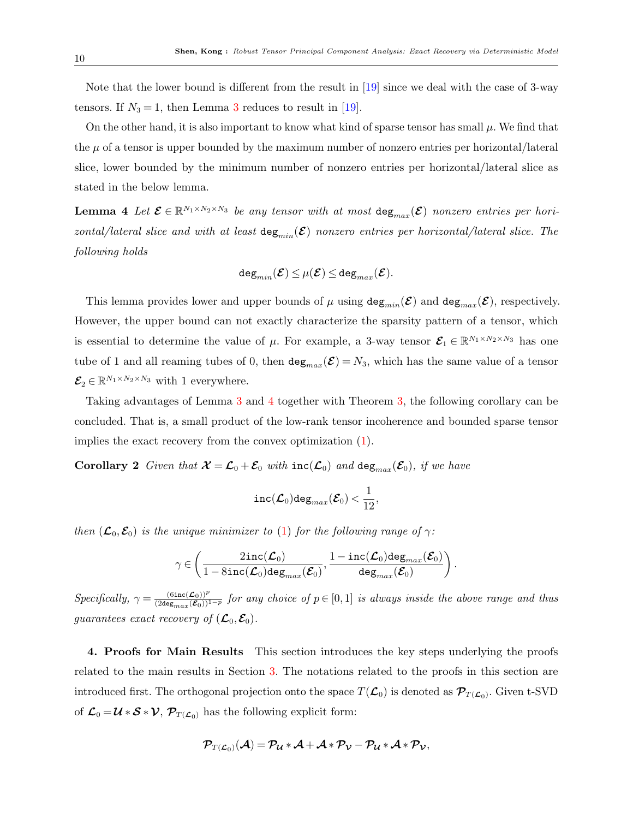Note that the lower bound is different from the result in [\[19\]](#page-19-10) since we deal with the case of 3-way tensors. If  $N_3 = 1$  $N_3 = 1$  $N_3 = 1$ , then Lemma 3 reduces to result in [\[19\]](#page-19-10).

On the other hand, it is also important to know what kind of sparse tensor has small  $\mu$ . We find that the  $\mu$  of a tensor is upper bounded by the maximum number of nonzero entries per horizontal/lateral slice, lower bounded by the minimum number of nonzero entries per horizontal/lateral slice as stated in the below lemma.

<span id="page-9-1"></span>**Lemma 4** Let  $\mathcal{E} \in \mathbb{R}^{N_1 \times N_2 \times N_3}$  be any tensor with at most  $\text{deg}_{max}(\mathcal{E})$  nonzero entries per horizontal/lateral slice and with at least  $\deg_{min}(\mathcal{E})$  nonzero entries per horizontal/lateral slice. The following holds

$$
\texttt{deg}_{min}(\boldsymbol{\mathcal{E}})\!\leq\!\mu(\boldsymbol{\mathcal{E}})\!\leq\! \texttt{deg}_{max}(\boldsymbol{\mathcal{E}}).
$$

This lemma provides lower and upper bounds of  $\mu$  using  $\text{deg}_{min}(\mathcal{E})$  and  $\text{deg}_{max}(\mathcal{E})$ , respectively. However, the upper bound can not exactly characterize the sparsity pattern of a tensor, which is essential to determine the value of  $\mu$ . For example, a 3-way tensor  $\mathcal{E}_1 \in \mathbb{R}^{N_1 \times N_2 \times N_3}$  has one tube of 1 and all reaming tubes of 0, then  $\deg_{max}(\mathcal{E}) = N_3$ , which has the same value of a tensor  $\mathcal{E}_2 \in \mathbb{R}^{N_1 \times N_2 \times N_3}$  with 1 everywhere.

Taking advantages of Lemma [3](#page-8-3) and [4](#page-9-1) together with Theorem [3,](#page-8-0) the following corollary can be concluded. That is, a small product of the low-rank tensor incoherence and bounded sparse tensor implies the exact recovery from the convex optimization [\(1\)](#page-1-0).

**Corollary 2** Given that  $\mathcal{X} = \mathcal{L}_0 + \mathcal{E}_0$  with  $inc(\mathcal{L}_0)$  and  $deg_{max}(\mathcal{E}_0)$ , if we have

$$
\mathtt{inc}(\mathcal{L}_0)\mathtt{deg}_{max}(\mathcal{E}_0)\!<\!\frac{1}{12},
$$

then  $(\mathcal{L}_0, \mathcal{E}_0)$  is the unique minimizer to [\(1\)](#page-1-0) for the following range of  $\gamma$ :

$$
\gamma \in \left(\frac{2\mathrm{inc}(\mathcal{L}_0)}{1-8\mathrm{inc}(\mathcal{L}_0)\mathrm{deg}_{max}(\mathcal{E}_0)}, \frac{1-\mathrm{inc}(\mathcal{L}_0)\mathrm{deg}_{max}(\mathcal{E}_0)}{\mathrm{deg}_{max}(\mathcal{E}_0)}\right).
$$

 $Specifically, \gamma = \frac{(6\text{inc}(\mathcal{L}_0))^p}{(2\text{deg}_{max}(\mathcal{E}_0))^{1-p}}$  for any choice of  $p \in [0,1]$  is always inside the above range and thus guarantees exact recovery of  $(\mathcal{L}_0, \mathcal{E}_0)$ .

<span id="page-9-0"></span>4. Proofs for Main Results This section introduces the key steps underlying the proofs related to the main results in Section [3.](#page-6-0) The notations related to the proofs in this section are introduced first. The orthogonal projection onto the space  $T(\mathcal{L}_0)$  is denoted as  $\mathcal{P}_{T(\mathcal{L}_0)}$ . Given t-SVD of  $\mathcal{L}_0 = \mathcal{U} * \mathcal{S} * \mathcal{V}$ ,  $\mathcal{P}_{T(\mathcal{L}_0)}$  has the following explicit form:

$$
\mathcal{P}_{T(\mathcal{L}_0)}(\mathcal{A}) = \mathcal{P}_{\mathcal{U}} * \mathcal{A} + \mathcal{A} * \mathcal{P}_{\mathcal{V}} - \mathcal{P}_{\mathcal{U}} * \mathcal{A} * \mathcal{P}_{\mathcal{V}},
$$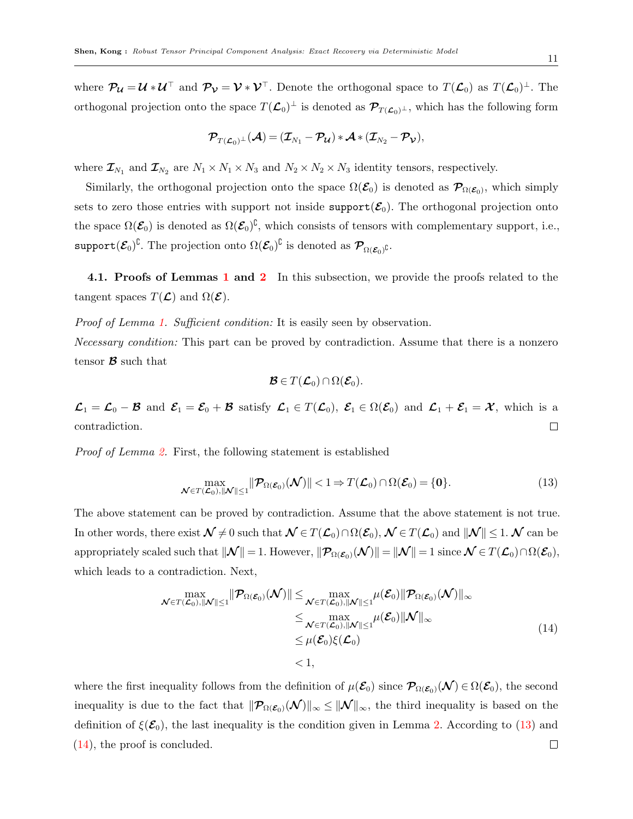where  $\mathcal{P}_{\mathcal{U}} = \mathcal{U} * \mathcal{U}^{\top}$  and  $\mathcal{P}_{\mathcal{V}} = \mathcal{V} * \mathcal{V}^{\top}$ . Denote the orthogonal space to  $T(\mathcal{L}_0)$  as  $T(\mathcal{L}_0)^{\bot}$ . The orthogonal projection onto the space  $T(\mathcal{L}_0)^{\perp}$  is denoted as  $\mathcal{P}_{T(\mathcal{L}_0)^{\perp}}$ , which has the following form

$$
\mathcal{P}_{T(\mathcal{L}_0)^\perp}(\mathcal{A}) \,{=}\, (\mathcal{I}_{N_1} \,{-}\, \mathcal{P}_{\mathcal{U}})*\mathcal{A} * (\mathcal{I}_{N_2} \,{-}\, \mathcal{P}_{\mathcal{V}}),
$$

where  $\mathcal{I}_{N_1}$  and  $\mathcal{I}_{N_2}$  are  $N_1 \times N_1 \times N_3$  and  $N_2 \times N_2 \times N_3$  identity tensors, respectively.

Similarly, the orthogonal projection onto the space  $\Omega(\mathcal{E}_0)$  is denoted as  $\mathcal{P}_{\Omega(\mathcal{E}_0)}$ , which simply sets to zero those entries with support not inside support $(\mathcal{E}_0)$ . The orthogonal projection onto the space  $\Omega(\mathcal{E}_0)$  is denoted as  $\Omega(\mathcal{E}_0)^{\complement}$ , which consists of tensors with complementary support, i.e.,  $\text{support}(\mathcal{E}_0)^\complement.$  The projection onto  $\Omega(\mathcal{E}_0)^\complement$  is denoted as  $\mathcal{P}_{\Omega(\mathcal{E}_0)^\complement}.$ 

4.[1](#page-7-0). Proofs of Lemmas 1 and [2](#page-7-3) In this subsection, we provide the proofs related to the tangent spaces  $T(\mathcal{L})$  and  $\Omega(\mathcal{E})$ .

Proof of Lemma [1.](#page-7-0) Sufficient condition: It is easily seen by observation. Necessary condition: This part can be proved by contradiction. Assume that there is a nonzero tensor  $\mathcal{B}$  such that

<span id="page-10-1"></span>
$$
\mathcal{B}\in T(\mathcal{L}_0)\cap\Omega(\mathcal{E}_0).
$$

 $\mathcal{L}_1 = \mathcal{L}_0 - \mathcal{B}$  and  $\mathcal{E}_1 = \mathcal{E}_0 + \mathcal{B}$  satisfy  $\mathcal{L}_1 \in T(\mathcal{L}_0)$ ,  $\mathcal{E}_1 \in \Omega(\mathcal{E}_0)$  and  $\mathcal{L}_1 + \mathcal{E}_1 = \mathcal{X}$ , which is a contradiction.  $\Box$ 

Proof of Lemma [2.](#page-7-3) First, the following statement is established

<span id="page-10-0"></span>
$$
\max_{\mathcal{N}\in T(\mathcal{L}_0), \|\mathcal{N}\|\leq 1} \|\mathcal{P}_{\Omega(\mathcal{E}_0)}(\mathcal{N})\| < 1 \Rightarrow T(\mathcal{L}_0) \cap \Omega(\mathcal{E}_0) = \{0\}.
$$
\n(13)

The above statement can be proved by contradiction. Assume that the above statement is not true. In other words, there exist  $\mathcal{N} \neq 0$  such that  $\mathcal{N} \in T(\mathcal{L}_0) \cap \Omega(\mathcal{E}_0)$ ,  $\mathcal{N} \in T(\mathcal{L}_0)$  and  $\|\mathcal{N}\| \leq 1$ .  $\mathcal{N}$  can be appropriately scaled such that  $\|\mathcal{N}\|=1$ . However,  $\|\mathcal{P}_{\Omega(\mathcal{E}_0)}(\mathcal{N})\|=\|\mathcal{N}\|=1$  since  $\mathcal{N}\in T(\mathcal{L}_0)\cap T(\mathcal{E}_0)$ , which leads to a contradiction. Next,

$$
\max_{\mathcal{N}\in T(\mathcal{L}_0),\|\mathcal{N}\|\leq 1} \|\mathcal{P}_{\Omega(\mathcal{E}_0)}(\mathcal{N})\| \leq \max_{\mathcal{N}\in T(\mathcal{L}_0),\|\mathcal{N}\|\leq 1} \mu(\mathcal{E}_0) \|\mathcal{P}_{\Omega(\mathcal{E}_0)}(\mathcal{N})\|_{\infty} \leq \max_{\mathcal{N}\in T(\mathcal{L}_0),\|\mathcal{N}\|\leq 1} \mu(\mathcal{E}_0) \|\mathcal{N}\|_{\infty} \leq \mu(\mathcal{E}_0)\xi(\mathcal{L}_0) \leq 1,
$$
\n(14)

where the first inequality follows from the definition of  $\mu(\mathcal{E}_0)$  since  $\mathcal{P}_{\Omega(\mathcal{E}_0)}(\mathcal{N}) \in \Omega(\mathcal{E}_0)$ , the second inequality is due to the fact that  $\|\mathcal{P}_{\Omega(\mathcal{E}_0)}(\mathcal{N})\|_{\infty} \leq \|\mathcal{N}\|_{\infty}$ , the third inequality is based on the definition of  $\xi(\mathcal{E}_0)$ , the last inequality is the condition given in Lemma [2.](#page-7-3) According to [\(13\)](#page-10-0) and [\(14\)](#page-10-1), the proof is concluded. $\Box$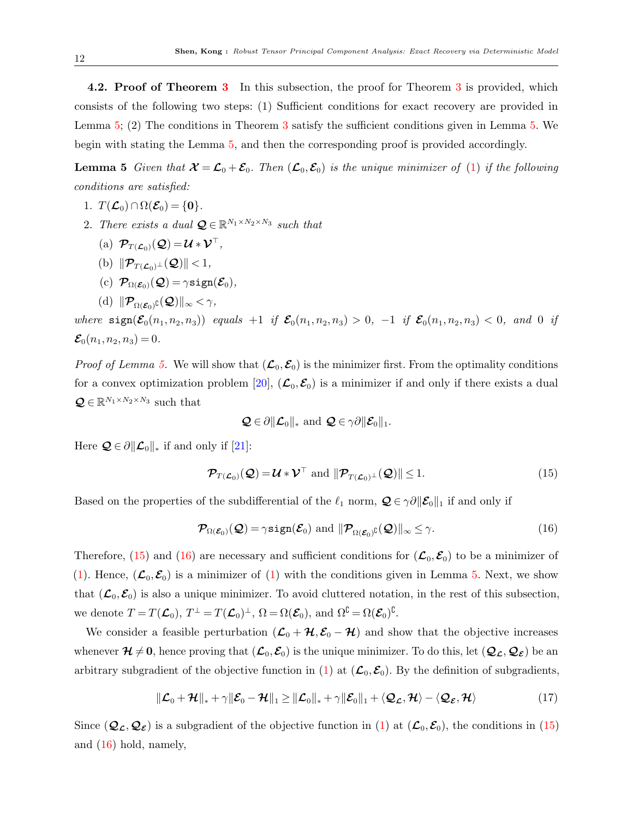4.2. Proof of Theorem [3](#page-8-0) In this subsection, the proof for Theorem 3 is provided, which consists of the following two steps: (1) Sufficient conditions for exact recovery are provided in Lemma [5;](#page-11-0) (2) The conditions in Theorem [3](#page-8-0) satisfy the sufficient conditions given in Lemma [5.](#page-11-0) We begin with stating the Lemma [5,](#page-11-0) and then the corresponding proof is provided accordingly.

<span id="page-11-0"></span>**Lemma 5** Given that  $\mathcal{X} = \mathcal{L}_0 + \mathcal{E}_0$ . Then  $(\mathcal{L}_0, \mathcal{E}_0)$  is the unique minimizer of [\(1\)](#page-1-0) if the following conditions are satisfied:

- 1.  $T(\mathcal{L}_0) \cap \Omega(\mathcal{E}_0) = \{0\}.$
- 2. There exists a dual  $\mathbf{Q} \in \mathbb{R}^{N_1 \times N_2 \times N_3}$  such that
	- (a)  $\mathcal{P}_{T(\mathcal{L}_0)}(\mathcal{Q}) = \mathcal{U} * \mathcal{V}^\top$ ,
	- (b)  $\|\mathcal{P}_{T(\mathcal{L}_0)^\perp}(\mathcal{Q})\|$  < 1,
	- (c)  $\mathcal{P}_{\Omega(\mathcal{E}_0)}(\mathcal{Q}) = \gamma \text{sign}(\mathcal{E}_0),$
	- (d)  $\|\mathcal{P}_{\Omega(\mathcal{E}_0)}\mathfrak{c}(\mathcal{Q})\|_{\infty} < \gamma$ ,

where  $sign(\mathcal{E}_0(n_1, n_2, n_3))$  equals  $+1$  if  $\mathcal{E}_0(n_1, n_2, n_3) > 0$ ,  $-1$  if  $\mathcal{E}_0(n_1, n_2, n_3) < 0$ , and 0 if  $\mathcal{E}_0(n_1, n_2, n_3) = 0.$ 

*Proof of Lemma [5.](#page-11-0)* We will show that  $(\mathcal{L}_0, \mathcal{E}_0)$  is the minimizer first. From the optimality conditions for a convex optimization problem [\[20\]](#page-19-11),  $(\mathcal{L}_0, \mathcal{E}_0)$  is a minimizer if and only if there exists a dual  $\mathbf{Q} \in \mathbb{R}^{N_1 \times N_2 \times N_3}$  such that

$$
\mathcal{Q} \in \partial \|\mathcal{L}_0\|_* \text{ and } \mathcal{Q} \in \gamma \partial \|\mathcal{E}_0\|_1.
$$

Here  $\mathcal{Q} \in \partial ||\mathcal{L}_0||_*$  if and only if [\[21\]](#page-19-12):

<span id="page-11-1"></span>
$$
\mathcal{P}_{T(\mathcal{L}_0)}(\mathcal{Q}) = \mathcal{U} * \mathcal{V}^\top \text{ and } \|\mathcal{P}_{T(\mathcal{L}_0)}\_\perp(\mathcal{Q})\| \le 1. \tag{15}
$$

Based on the properties of the subdifferential of the  $\ell_1$  norm,  $\mathcal{Q} \in \gamma \partial \|\mathcal{E}_0\|_1$  if and only if

<span id="page-11-2"></span>
$$
\mathcal{P}_{\Omega(\mathcal{E}_0)}(\mathcal{Q}) = \gamma \text{sign}(\mathcal{E}_0) \text{ and } \|\mathcal{P}_{\Omega(\mathcal{E}_0)^C}(\mathcal{Q})\|_{\infty} \leq \gamma.
$$
\n(16)

Therefore, [\(15\)](#page-11-1) and [\(16\)](#page-11-2) are necessary and sufficient conditions for  $(\mathcal{L}_0, \mathcal{E}_0)$  to be a minimizer of [\(1\)](#page-1-0). Hence,  $(\mathcal{L}_0, \mathcal{E}_0)$  is a minimizer of (1) with the conditions given in Lemma [5.](#page-11-0) Next, we show that  $(\mathcal{L}_0, \mathcal{E}_0)$  is also a unique minimizer. To avoid cluttered notation, in the rest of this subsection, we denote  $T = T(\mathcal{L}_0)$ ,  $T^{\perp} = T(\mathcal{L}_0)^{\perp}$ ,  $\Omega = \Omega(\mathcal{E}_0)$ , and  $\Omega^{\complement} = \Omega(\mathcal{E}_0)^{\complement}$ .

We consider a feasible perturbation  $(\mathcal{L}_0 + \mathcal{H}, \mathcal{E}_0 - \mathcal{H})$  and show that the objective increases whenever  $\mathcal{H} \neq 0$ , hence proving that  $(\mathcal{L}_0,\mathcal{E}_0)$  is the unique minimizer. To do this, let  $(\mathcal{Q}_\mathcal{L},\mathcal{Q}_\mathcal{E})$  be an arbitrary subgradient of the objective function in [\(1\)](#page-1-0) at  $(\mathcal{L}_0, \mathcal{E}_0)$ . By the definition of subgradients,

<span id="page-11-3"></span>
$$
\|\mathcal{L}_0 + \mathcal{H}\|_* + \gamma \|\mathcal{E}_0 - \mathcal{H}\|_1 \ge \|\mathcal{L}_0\|_* + \gamma \|\mathcal{E}_0\|_1 + \langle \mathcal{Q}_\mathcal{L}, \mathcal{H} \rangle - \langle \mathcal{Q}_\mathcal{E}, \mathcal{H} \rangle \tag{17}
$$

Since  $(Q_{\mathcal{L}},Q_{\mathcal{E}})$  is a subgradient of the objective function in [\(1\)](#page-1-0) at  $(\mathcal{L}_0,\mathcal{E}_0)$ , the conditions in [\(15\)](#page-11-1) and [\(16\)](#page-11-2) hold, namely,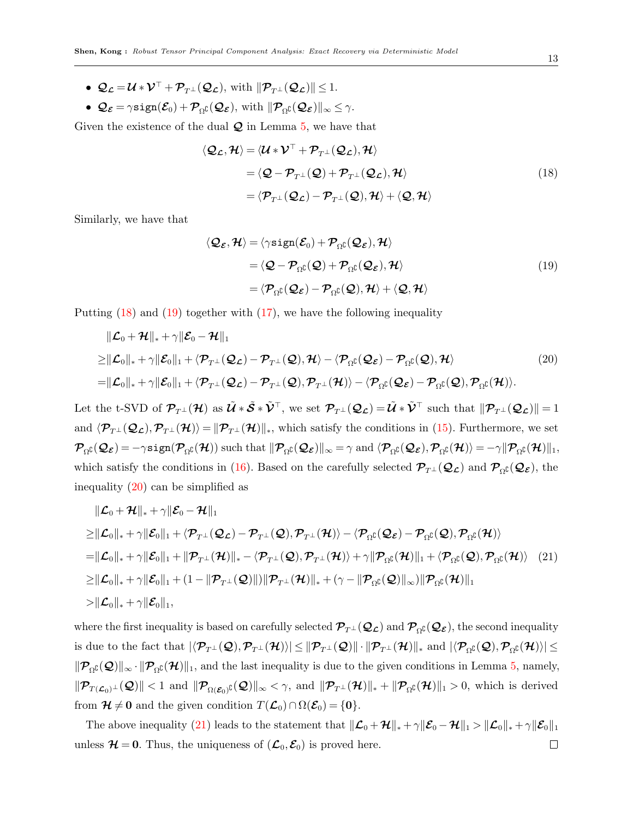- $\mathcal{Q}_c = \mathcal{U} * \mathcal{V}^\top + \mathcal{P}_{\tau \perp}(\mathcal{Q}_c)$ , with  $\|\mathcal{P}_{\tau \perp}(\mathcal{Q}_c)\|$  < 1.
- $\mathcal{Q}_{\mathcal{E}} = \gamma \text{sign}(\mathcal{E}_0) + \mathcal{P}_{\Omega}(\mathcal{Q}_{\mathcal{E}})$ , with  $\|\mathcal{P}_{\Omega}(\mathcal{Q}_{\mathcal{E}})\|_{\infty} \leq \gamma$ .

Given the existence of the dual  $\mathcal Q$  in Lemma [5,](#page-11-0) we have that

<span id="page-12-0"></span>
$$
\langle \mathcal{Q}_{\mathcal{L}}, \mathcal{H} \rangle = \langle \mathcal{U} * \mathcal{V}^{\top} + \mathcal{P}_{T^{\perp}}(\mathcal{Q}_{\mathcal{L}}), \mathcal{H} \rangle
$$
  
\n
$$
= \langle \mathcal{Q} - \mathcal{P}_{T^{\perp}}(\mathcal{Q}) + \mathcal{P}_{T^{\perp}}(\mathcal{Q}_{\mathcal{L}}), \mathcal{H} \rangle
$$
  
\n
$$
= \langle \mathcal{P}_{T^{\perp}}(\mathcal{Q}_{\mathcal{L}}) - \mathcal{P}_{T^{\perp}}(\mathcal{Q}), \mathcal{H} \rangle + \langle \mathcal{Q}, \mathcal{H} \rangle
$$
\n(18)

Similarly, we have that

<span id="page-12-3"></span><span id="page-12-2"></span><span id="page-12-1"></span>
$$
\langle \mathcal{Q}_{\varepsilon}, \mathcal{H} \rangle = \langle \gamma \text{sign}(\mathcal{E}_0) + \mathcal{P}_{\Omega^{\complement}}(\mathcal{Q}_{\varepsilon}), \mathcal{H} \rangle
$$
  
\n
$$
= \langle \mathcal{Q} - \mathcal{P}_{\Omega^{\complement}}(\mathcal{Q}) + \mathcal{P}_{\Omega^{\complement}}(\mathcal{Q}_{\varepsilon}), \mathcal{H} \rangle
$$
  
\n
$$
= \langle \mathcal{P}_{\Omega^{\complement}}(\mathcal{Q}_{\varepsilon}) - \mathcal{P}_{\Omega^{\complement}}(\mathcal{Q}), \mathcal{H} \rangle + \langle \mathcal{Q}, \mathcal{H} \rangle
$$
\n(19)

Putting [\(18\)](#page-12-0) and [\(19\)](#page-12-1) together with [\(17\)](#page-11-3), we have the following inequality

$$
\|\mathcal{L}_0 + \mathcal{H}\|_* + \gamma \|\mathcal{E}_0 - \mathcal{H}\|_1
$$
  
\n
$$
\geq \|\mathcal{L}_0\|_* + \gamma \|\mathcal{E}_0\|_1 + \langle \mathcal{P}_{T^\perp}(\mathcal{Q}_\mathcal{L}) - \mathcal{P}_{T^\perp}(\mathcal{Q}), \mathcal{H} \rangle - \langle \mathcal{P}_{\Omega^c}(\mathcal{Q}_\mathcal{E}) - \mathcal{P}_{\Omega^c}(\mathcal{Q}), \mathcal{H} \rangle \tag{20}\n= \|\mathcal{L}_0\|_* + \gamma \|\mathcal{E}_0\|_1 + \langle \mathcal{P}_{T^\perp}(\mathcal{Q}_\mathcal{L}) - \mathcal{P}_{T^\perp}(\mathcal{Q}), \mathcal{P}_{T^\perp}(\mathcal{H}) \rangle - \langle \mathcal{P}_{\Omega^c}(\mathcal{Q}_\mathcal{E}) - \mathcal{P}_{\Omega^c}(\mathcal{Q}), \mathcal{P}_{\Omega^c}(\mathcal{H}) \rangle.
$$

Let the t-SVD of  $\mathcal{P}_{T}(\mathcal{H})$  as  $\tilde{\mathcal{U}} * \tilde{\mathcal{S}} * \tilde{\mathcal{V}}^{\top}$ , we set  $\mathcal{P}_{T}(\mathcal{Q}_{\mathcal{L}}) = \tilde{\mathcal{U}} * \tilde{\mathcal{V}}^{\top}$  such that  $\|\mathcal{P}_{T}(\mathcal{Q}_{\mathcal{L}})\| = 1$ and  $\langle \mathcal{P}_{T^{\perp}}(\mathcal{Q}_{\mathcal{L}}), \mathcal{P}_{T^{\perp}}(\mathcal{H}) \rangle = ||\mathcal{P}_{T^{\perp}}(\mathcal{H})||_*$ , which satisfy the conditions in [\(15\)](#page-11-1). Furthermore, we set  $\mathcal{P}_{\Omega^{\complement}}(\mathcal{Q}_{\mathcal{E}}) = -\gamma \text{sign}(\mathcal{P}_{\Omega^{\complement}}(\mathcal{H}))$  such that  $\|\mathcal{P}_{\Omega^{\complement}}(\mathcal{Q}_{\mathcal{E}})\|_{\infty} = \gamma$  and  $\langle \mathcal{P}_{\Omega^{\complement}}(\mathcal{Q}_{\mathcal{E}}), \mathcal{P}_{\Omega^{\complement}}(\mathcal{H}) \rangle = -\gamma \|\mathcal{P}_{\Omega^{\complement}}(\mathcal{H})\|_{1}$ , which satisfy the conditions in [\(16\)](#page-11-2). Based on the carefully selected  $\mathcal{P}_{T^{\perp}}(\mathcal{Q}_{\mathcal{L}})$  and  $\mathcal{P}_{\Omega^{\complement}}(\mathcal{Q}_{\mathcal{E}})$ , the inequality [\(20\)](#page-12-2) can be simplified as

$$
\|\mathcal{L}_0 + \mathcal{H}\|_* + \gamma \|\mathcal{E}_0 - \mathcal{H}\|_1
$$
\n
$$
\geq \|\mathcal{L}_0\|_* + \gamma \|\mathcal{E}_0\|_1 + \langle \mathcal{P}_{T^\perp}(\mathcal{Q}_{\mathcal{L}}) - \mathcal{P}_{T^\perp}(\mathcal{Q}), \mathcal{P}_{T^\perp}(\mathcal{H}) \rangle - \langle \mathcal{P}_{\Omega^c}(\mathcal{Q}_{\mathcal{E}}) - \mathcal{P}_{\Omega^c}(\mathcal{Q}), \mathcal{P}_{\Omega^c}(\mathcal{H}) \rangle
$$
\n
$$
= \|\mathcal{L}_0\|_* + \gamma \|\mathcal{E}_0\|_1 + \|\mathcal{P}_{T^\perp}(\mathcal{H})\|_* - \langle \mathcal{P}_{T^\perp}(\mathcal{Q}), \mathcal{P}_{T^\perp}(\mathcal{H}) \rangle + \gamma \|\mathcal{P}_{\Omega^c}(\mathcal{H})\|_1 + \langle \mathcal{P}_{\Omega^c}(\mathcal{Q}), \mathcal{P}_{\Omega^c}(\mathcal{H}) \rangle \quad (21)
$$
\n
$$
\geq \|\mathcal{L}_0\|_* + \gamma \|\mathcal{E}_0\|_1 + (1 - \|\mathcal{P}_{T^\perp}(\mathcal{Q})\|) \|\mathcal{P}_{T^\perp}(\mathcal{H})\|_* + (\gamma - \|\mathcal{P}_{\Omega^c}(\mathcal{Q})\|_\infty) \|\mathcal{P}_{\Omega^c}(\mathcal{H})\|_1
$$
\n
$$
> \|\mathcal{L}_0\|_* + \gamma \|\mathcal{E}_0\|_1,
$$

where the first inequality is based on carefully selected  $\mathcal{P}_{T^{\perp}}(\mathcal{Q}_{\mathcal{L}})$  and  $\mathcal{P}_{\Omega}(\mathcal{Q}_{\mathcal{E}})$ , the second inequality is due to the fact that  $|\langle \mathcal{P}_{T^{\perp}}(\mathcal{Q}), \mathcal{P}_{T^{\perp}}(\mathcal{H}) \rangle| \leq ||\mathcal{P}_{T^{\perp}}(\mathcal{Q})|| \cdot ||\mathcal{P}_{T^{\perp}}(\mathcal{H})||_*$  and  $|\langle \mathcal{P}_{\Omega^{\complement}}(\mathcal{Q}), \mathcal{P}_{\Omega^{\complement}}(\mathcal{H}) \rangle| \leq$  $\|\mathcal{P}_{\Omega}(\mathcal{Q})\|_{\infty} \cdot \|\mathcal{P}_{\Omega}(\mathcal{H})\|_{1}$ , and the last inequality is due to the given conditions in Lemma [5,](#page-11-0) namely,  $\|\mathcal{P}_{T(\mathcal{L}_0)^{\perp}}(\mathcal{Q})\| < 1$  and  $\|\mathcal{P}_{\Omega(\mathcal{E}_0)^{\complement}}(\mathcal{Q})\|_{\infty} < \gamma$ , and  $\|\mathcal{P}_{T^{\perp}}(\mathcal{H})\|_{*} + \|\mathcal{P}_{\Omega^{\complement}}(\mathcal{H})\|_{1} > 0$ , which is derived from  $\mathcal{H} \neq 0$  and the given condition  $T(\mathcal{L}_0) \cap \Omega(\mathcal{E}_0) = \{0\}.$ 

The above inequality [\(21\)](#page-12-3) leads to the statement that  $\|\mathcal{L}_0 + \mathcal{H}\|_* + \gamma \|\mathcal{E}_0 - \mathcal{H}\|_1 > \|\mathcal{L}_0\|_* + \gamma \|\mathcal{E}_0\|_1$ unless  $\mathcal{H} = 0$ . Thus, the uniqueness of  $(\mathcal{L}_0, \mathcal{E}_0)$  is proved here.  $\Box$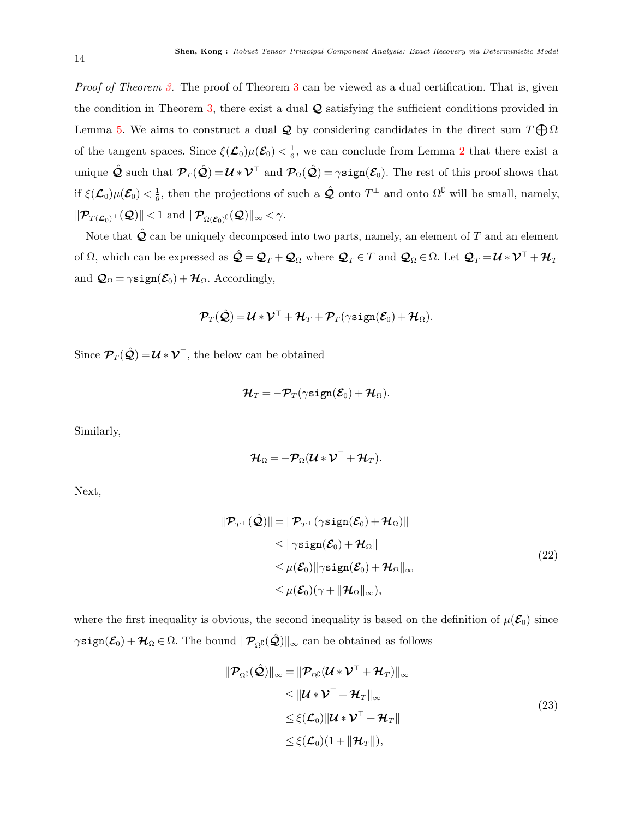Proof of Theorem [3.](#page-8-0) The proof of Theorem [3](#page-8-0) can be viewed as a dual certification. That is, given the condition in Theorem [3,](#page-8-0) there exist a dual  $\mathcal Q$  satisfying the sufficient conditions provided in Lemma [5.](#page-11-0) We aims to construct a dual  $\mathcal Q$  by considering candidates in the direct sum  $T \bigoplus \Omega$ of the tangent spaces. Since  $\xi(\mathcal{L}_0)\mu(\mathcal{E}_0) < \frac{1}{6}$  $\frac{1}{6}$ , we can conclude from Lemma [2](#page-7-3) that there exist a unique  $\hat{\mathbf{\mathcal{Q}}}$  such that  $\mathcal{P}_T(\hat{\mathbf{\mathcal{Q}}}) = \mathcal{U} * \mathcal{V}^\top$  and  $\mathcal{P}_\Omega(\hat{\mathbf{\mathcal{Q}}}) = \gamma \text{sign}(\mathcal{E}_0)$ . The rest of this proof shows that if  $\xi(\mathcal{L}_0)\mu(\mathcal{E}_0) < \frac{1}{6}$  $\frac{1}{6}$ , then the projections of such a  $\hat{\mathcal{Q}}$  onto  $T^{\perp}$  and onto  $\Omega^{\complement}$  will be small, namely,  $\|\mathcal{P}_{T(\mathcal{L}_0)^{\perp}}(\mathcal{Q})\|$  < 1 and  $\|\mathcal{P}_{\Omega(\mathcal{E}_0)^{\complement}}(\mathcal{Q})\|_{\infty}$  <  $\gamma$ .

Note that  $\mathcal Q$  can be uniquely decomposed into two parts, namely, an element of  $T$  and an element of  $\Omega$ , which can be expressed as  $\hat{\mathcal{Q}} = \mathcal{Q}_T + \mathcal{Q}_\Omega$  where  $\mathcal{Q}_T \in T$  and  $\mathcal{Q}_\Omega \in \Omega$ . Let  $\mathcal{Q}_T = \mathcal{U} * \mathcal{V}^\top + \mathcal{H}_T$ and  $\mathcal{Q}_{\Omega} = \gamma \text{sign}(\mathcal{E}_0) + \mathcal{H}_{\Omega}$ . Accordingly,

$$
\boldsymbol{\mathcal{P}}_T(\hat{\mathcal{Q}})\hspace{-0.2em} =\hspace{-0.2em} \boldsymbol{\mathcal{U}}\hspace{-0.2em}*\boldsymbol{\mathcal{V}}^\top\hspace{-0.2em}+\hspace{-0.2em}\boldsymbol{\mathcal{H}}_T\hspace{-0.2em}+\hspace{-0.2em}\boldsymbol{\mathcal{P}}_T(\gamma\texttt{sign}(\boldsymbol{\mathcal{E}}_0)\hspace{-0.2em}+\hspace{-0.2em}\boldsymbol{\mathcal{H}}_\Omega).
$$

Since  $\mathcal{P}_T(\hat{\mathcal{Q}}) = \mathcal{U} * \mathcal{V}^\top$ , the below can be obtained

$$
\boldsymbol{\mathcal{H}}_T=-\boldsymbol{\mathcal{P}}_T(\gamma\texttt{sign}(\boldsymbol{\mathcal{E}}_0)+\boldsymbol{\mathcal{H}}_\Omega).
$$

Similarly,

<span id="page-13-0"></span>
$$
\boldsymbol{\mathcal{H}}_{\Omega} = -\boldsymbol{\mathcal{P}}_{\Omega}(\boldsymbol{\mathcal{U}} * \boldsymbol{\mathcal{V}}^{\top} + \boldsymbol{\mathcal{H}}_{T}).
$$

Next,

$$
\|\mathcal{P}_{T^{\perp}}(\hat{\mathcal{Q}})\| = \|\mathcal{P}_{T^{\perp}}(\gamma \text{sign}(\mathcal{E}_0) + \mathcal{H}_{\Omega})\|
$$
  
\n
$$
\leq \|\gamma \text{sign}(\mathcal{E}_0) + \mathcal{H}_{\Omega}\|
$$
  
\n
$$
\leq \mu(\mathcal{E}_0) \|\gamma \text{sign}(\mathcal{E}_0) + \mathcal{H}_{\Omega}\|_{\infty}
$$
  
\n
$$
\leq \mu(\mathcal{E}_0)(\gamma + \|\mathcal{H}_{\Omega}\|_{\infty}),
$$
\n(22)

where the first inequality is obvious, the second inequality is based on the definition of  $\mu(\mathcal{E}_0)$  since  $\gamma$ sign $(\mathcal{E}_0) + \mathcal{H}_\Omega \in \Omega$ . The bound  $\|\mathcal{P}_{\Omega}(\hat{\mathcal{Q}})\|_{\infty}$  can be obtained as follows

<span id="page-13-1"></span>
$$
\|\mathcal{P}_{\Omega^{\complement}}(\hat{\mathcal{Q}})\|_{\infty} = \|\mathcal{P}_{\Omega^{\complement}}(\mathcal{U} * \mathcal{V}^{\top} + \mathcal{H}_{T})\|_{\infty} \n\leq \|\mathcal{U} * \mathcal{V}^{\top} + \mathcal{H}_{T}\|_{\infty} \n\leq \xi(\mathcal{L}_{0}) \|\mathcal{U} * \mathcal{V}^{\top} + \mathcal{H}_{T}\| \n\leq \xi(\mathcal{L}_{0})(1 + \|\mathcal{H}_{T}\|),
$$
\n(23)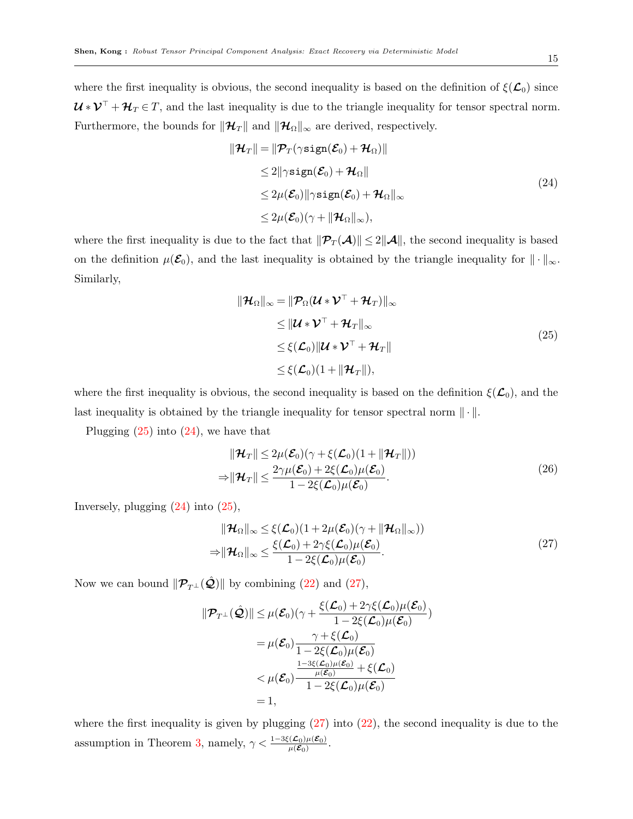where the first inequality is obvious, the second inequality is based on the definition of  $\xi(\mathcal{L}_0)$  since  $\mathcal{U} * \mathcal{V}^{\top} + \mathcal{H}_{T} \in T$ , and the last inequality is due to the triangle inequality for tensor spectral norm. Furthermore, the bounds for  $\|\mathcal{H}_T\|$  and  $\|\mathcal{H}_\Omega\|_{\infty}$  are derived, respectively.

<span id="page-14-1"></span>
$$
\|\mathcal{H}_T\| = \|\mathcal{P}_T(\gamma \text{sign}(\mathcal{E}_0) + \mathcal{H}_\Omega)\|
$$
  
\n
$$
\leq 2\|\gamma \text{sign}(\mathcal{E}_0) + \mathcal{H}_\Omega\|
$$
  
\n
$$
\leq 2\mu(\mathcal{E}_0)\|\gamma \text{sign}(\mathcal{E}_0) + \mathcal{H}_\Omega\|_\infty
$$
  
\n
$$
\leq 2\mu(\mathcal{E}_0)(\gamma + \|\mathcal{H}_\Omega\|_\infty),
$$
\n(24)

where the first inequality is due to the fact that  $\|\mathcal{P}_T(\mathcal{A})\| \leq 2\|\mathcal{A}\|$ , the second inequality is based on the definition  $\mu(\mathcal{E}_0)$ , and the last inequality is obtained by the triangle inequality for  $\|\cdot\|_{\infty}$ . Similarly,

<span id="page-14-0"></span>
$$
\|\mathcal{H}_{\Omega}\|_{\infty} = \|\mathcal{P}_{\Omega}(\mathcal{U} * \mathcal{V}^{\top} + \mathcal{H}_{T})\|_{\infty} \n\leq \|\mathcal{U} * \mathcal{V}^{\top} + \mathcal{H}_{T}\|_{\infty} \n\leq \xi(\mathcal{L}_{0})\|\mathcal{U} * \mathcal{V}^{\top} + \mathcal{H}_{T}\| \n\leq \xi(\mathcal{L}_{0})(1 + \|\mathcal{H}_{T}\|),
$$
\n(25)

where the first inequality is obvious, the second inequality is based on the definition  $\xi(\mathcal{L}_0)$ , and the last inequality is obtained by the triangle inequality for tensor spectral norm  $\|\cdot\|$ .

Plugging  $(25)$  into  $(24)$ , we have that

<span id="page-14-3"></span>
$$
\|\mathcal{H}_T\| \le 2\mu(\mathcal{E}_0)(\gamma + \xi(\mathcal{L}_0)(1 + \|\mathcal{H}_T\|))
$$
  
\n
$$
\Rightarrow \|\mathcal{H}_T\| \le \frac{2\gamma\mu(\mathcal{E}_0) + 2\xi(\mathcal{L}_0)\mu(\mathcal{E}_0)}{1 - 2\xi(\mathcal{L}_0)\mu(\mathcal{E}_0)}.
$$
\n(26)

Inversely, plugging  $(24)$  into  $(25)$ ,

<span id="page-14-2"></span>
$$
\|\mathcal{H}_{\Omega}\|_{\infty} \leq \xi(\mathcal{L}_{0})(1+2\mu(\mathcal{E}_{0})(\gamma+\|\mathcal{H}_{\Omega}\|_{\infty}))
$$
  
\n
$$
\Rightarrow \|\mathcal{H}_{\Omega}\|_{\infty} \leq \frac{\xi(\mathcal{L}_{0}) + 2\gamma\xi(\mathcal{L}_{0})\mu(\mathcal{E}_{0})}{1 - 2\xi(\mathcal{L}_{0})\mu(\mathcal{E}_{0})}.
$$
\n(27)

Now we can bound  $\|\mathcal{P}_{T^{\perp}}(\hat{\mathcal{Q}})\|$  by combining [\(22\)](#page-13-0) and [\(27\)](#page-14-2),

$$
\|\mathcal{P}_{T^{\perp}}(\hat{\mathcal{Q}})\| \leq \mu(\mathcal{E}_0)(\gamma + \frac{\xi(\mathcal{L}_0) + 2\gamma\xi(\mathcal{L}_0)\mu(\mathcal{E}_0)}{1 - 2\xi(\mathcal{L}_0)\mu(\mathcal{E}_0)})
$$
  
\n
$$
= \mu(\mathcal{E}_0) \frac{\gamma + \xi(\mathcal{L}_0)}{1 - 2\xi(\mathcal{L}_0)\mu(\mathcal{E}_0)}
$$
  
\n
$$
< \mu(\mathcal{E}_0) \frac{\frac{1 - 3\xi(\mathcal{L}_0)\mu(\mathcal{E}_0)}{\mu(\mathcal{E}_0)} + \xi(\mathcal{L}_0)}{1 - 2\xi(\mathcal{L}_0)\mu(\mathcal{E}_0)}
$$
  
\n
$$
= 1,
$$

where the first inequality is given by plugging  $(27)$  into  $(22)$ , the second inequality is due to the assumption in Theorem [3,](#page-8-0) namely,  $\gamma < \frac{1-3\xi(\mathcal{L}_0)\mu(\mathcal{E}_0)}{\mu(\mathcal{E}_0)}$ .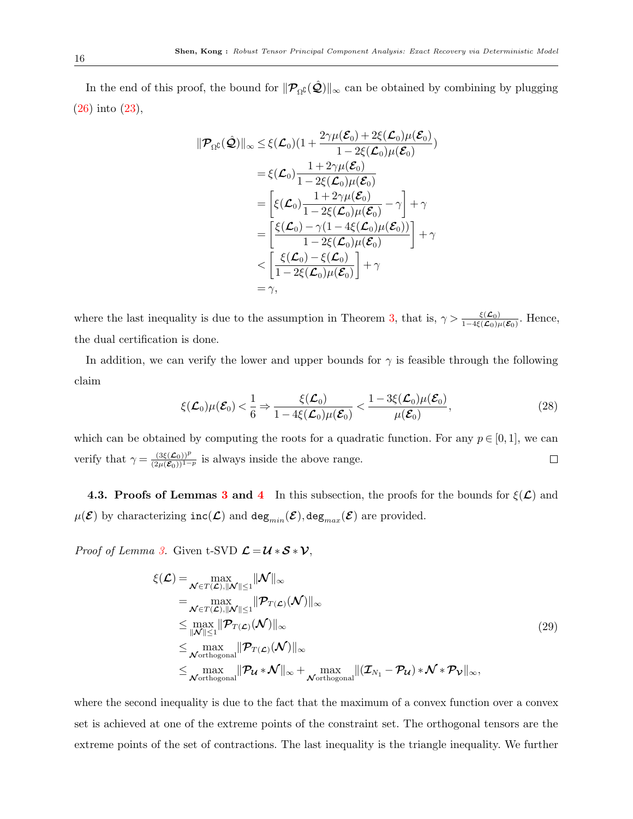In the end of this proof, the bound for  $\|\mathcal{P}_{\Omega}(\hat{\mathcal{Q}})\|_{\infty}$  can be obtained by combining by plugging [\(26\)](#page-14-3) into [\(23\)](#page-13-1),

$$
\begin{aligned}\n\|\mathcal{P}_{\Omega}(\hat{\mathcal{Q}})\|_{\infty} &\leq \xi(\mathcal{L}_{0})(1+\frac{2\gamma\mu(\mathcal{E}_{0})+2\xi(\mathcal{L}_{0})\mu(\mathcal{E}_{0})}{1-2\xi(\mathcal{L}_{0})\mu(\mathcal{E}_{0})}) \\
&= \xi(\mathcal{L}_{0})\frac{1+2\gamma\mu(\mathcal{E}_{0})}{1-2\xi(\mathcal{L}_{0})\mu(\mathcal{E}_{0})} \\
&= \left[\xi(\mathcal{L}_{0})\frac{1+2\gamma\mu(\mathcal{E}_{0})}{1-2\xi(\mathcal{L}_{0})\mu(\mathcal{E}_{0})}-\gamma\right]+\gamma \\
&= \left[\frac{\xi(\mathcal{L}_{0})-\gamma(1-4\xi(\mathcal{L}_{0})\mu(\mathcal{E}_{0}))}{1-2\xi(\mathcal{L}_{0})\mu(\mathcal{E}_{0})}\right]+\gamma \\
&<\left[\frac{\xi(\mathcal{L}_{0})-\xi(\mathcal{L}_{0})}{1-2\xi(\mathcal{L}_{0})\mu(\mathcal{E}_{0})}\right]+\gamma \\
&= \gamma,\n\end{aligned}
$$

where the last inequality is due to the assumption in Theorem [3,](#page-8-0) that is,  $\gamma > \frac{\xi(\mathcal{L}_0)}{1-4\xi(\mathcal{L}_0)\mu(\mathcal{E}_0)}$ . Hence, the dual certification is done.

In addition, we can verify the lower and upper bounds for  $\gamma$  is feasible through the following claim

$$
\xi(\mathcal{L}_0)\mu(\mathcal{E}_0) < \frac{1}{6} \Rightarrow \frac{\xi(\mathcal{L}_0)}{1 - 4\xi(\mathcal{L}_0)\mu(\mathcal{E}_0)} < \frac{1 - 3\xi(\mathcal{L}_0)\mu(\mathcal{E}_0)}{\mu(\mathcal{E}_0)},\tag{28}
$$

which can be obtained by computing the roots for a quadratic function. For any  $p \in [0,1]$ , we can verify that  $\gamma = \frac{(3\xi(\mathcal{L}_0))^p}{(2\mu(\mathcal{E}_0))^{1-p}}$  is always inside the above range.  $\Box$ 

4.[3](#page-8-3). Proofs of Lemmas 3 and [4](#page-9-1) In this subsection, the proofs for the bounds for  $\xi(\mathcal{L})$  and  $\mu(\mathcal{E})$  by characterizing  $inc(\mathcal{L})$  and  $deg_{min}(\mathcal{E})$ , deg<sub>max</sub>( $\mathcal{E})$ ) are provided.

*Proof of Lemma [3.](#page-8-3)* Given t-SVD  $\mathcal{L} = \mathcal{U} * \mathcal{S} * \mathcal{V}$ ,

<span id="page-15-0"></span>
$$
\xi(\mathcal{L}) = \max_{\mathcal{N} \in T(\mathcal{L}), ||\mathcal{N}|| \le 1} ||\mathcal{N}||_{\infty} \n= \max_{\mathcal{N} \in T(\mathcal{L}), ||\mathcal{N}|| \le 1} ||\mathcal{P}_{T(\mathcal{L})}(\mathcal{N})||_{\infty} \n\le \max_{||\mathcal{N}|| \le 1} ||\mathcal{P}_{T(\mathcal{L})}(\mathcal{N})||_{\infty} \n\le \max_{\mathcal{N} \text{orthogonal}} ||\mathcal{P}_{T(\mathcal{L})}(\mathcal{N})||_{\infty} \n\le \max_{\mathcal{N} \text{orthogonal}} ||\mathcal{P}_{\mathcal{U}} * \mathcal{N}||_{\infty} + \max_{\mathcal{N} \text{orthogonal}} ||(\mathcal{I}_{N_1} - \mathcal{P}_{\mathcal{U}}) * \mathcal{N} * \mathcal{P}_{\mathcal{V}}||_{\infty},
$$
\n(29)

where the second inequality is due to the fact that the maximum of a convex function over a convex set is achieved at one of the extreme points of the constraint set. The orthogonal tensors are the extreme points of the set of contractions. The last inequality is the triangle inequality. We further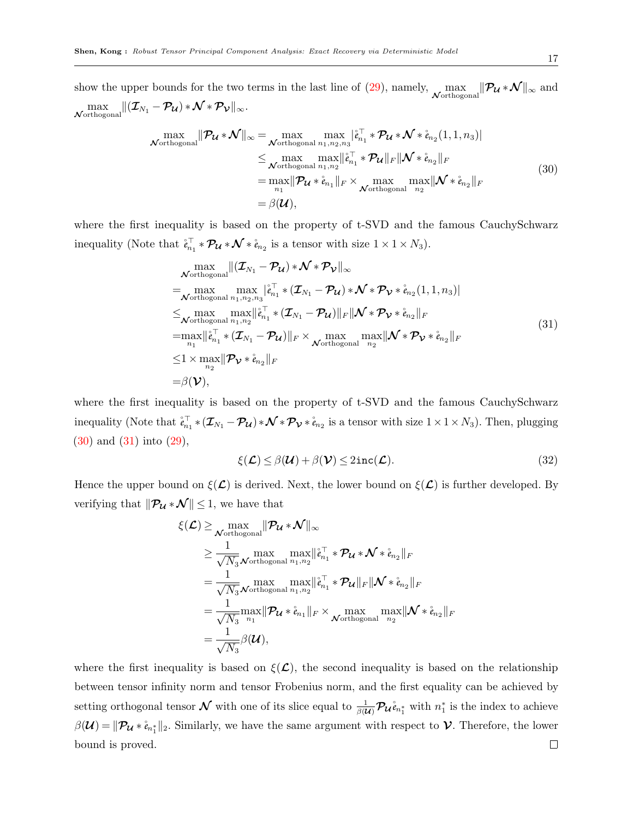show the upper bounds for the two terms in the last line of  $(29)$ , namely,  $\max_{\mathcal{N} \text{orthogonal}} \| \mathcal{P}_{\mathcal{U}} * \mathcal{N} \|_{\infty}$  and  $\max_{\boldsymbol{\mathcal{N}} \text{orthogonal}} \lVert (\boldsymbol{\mathcal{I}}_{N_1} - \boldsymbol{\mathcal{P}}_{\boldsymbol{\mathcal{U}}}) \ast \boldsymbol{\mathcal{N}} \ast \boldsymbol{\mathcal{P}}_{\boldsymbol{\mathcal{V}}} \rVert_{\infty}.$ 

$$
\max_{\text{Vorthogonal}} \|\mathcal{P}_{\mathcal{U}} * \mathcal{N}\|_{\infty} = \max_{\text{Vorthogonal}} \max_{n_1, n_2, n_3} |\hat{e}_{n_1}^{\top} * \mathcal{P}_{\mathcal{U}} * \mathcal{N} * \hat{e}_{n_2}(1, 1, n_3)|
$$
\n
$$
\leq \max_{\text{Vorthogonal}} \max_{n_1, n_2} ||\hat{e}_{n_1}^{\top} * \mathcal{P}_{\mathcal{U}}||_F \|\mathcal{N} * \hat{e}_{n_2}||_F
$$
\n
$$
= \max_{n_1} \|\mathcal{P}_{\mathcal{U}} * \hat{e}_{n_1}\|_F \times \max_{\text{Vorthogonal}} \max_{n_2} \|\mathcal{N} * \hat{e}_{n_2}\|_F
$$
\n
$$
= \beta(\mathcal{U}), \tag{30}
$$

where the first inequality is based on the property of t-SVD and the famous CauchySchwarz inequality (Note that  $\mathring{e}_{n_1}^{\top} * \mathcal{P}_{\mathcal{U}} * \mathcal{N} * \mathring{e}_{n_2}$  is a tensor with size  $1 \times 1 \times N_3$ ).

<span id="page-16-0"></span>
$$
\max_{\text{Vorthogonal}} ||(\mathcal{I}_{N_1} - \mathcal{P}_{\mathcal{U}}) * \mathcal{N} * \mathcal{P}_{\mathcal{V}}||_{\infty} \n= \max_{\text{Vorthogonal } n_1, n_2, n_3} |a_{n_1}^{\top} * (\mathcal{I}_{N_1} - \mathcal{P}_{\mathcal{U}}) * \mathcal{N} * \mathcal{P}_{\mathcal{V}} * \mathring{e}_{n_2}(1, 1, n_3)| \n\leq \max_{\text{Vorthogonal } n_1, n_2} \max_{n_1, n_2} ||\mathring{e}_{n_1}^{\top} * (\mathcal{I}_{N_1} - \mathcal{P}_{\mathcal{U}})||_F ||\mathcal{N} * \mathcal{P}_{\mathcal{V}} * \mathring{e}_{n_2}||_F \n= \max_{n_1} ||\mathring{e}_{n_1}^{\top} * (\mathcal{I}_{N_1} - \mathcal{P}_{\mathcal{U}})||_F \times \max_{\text{Vorthogonal } n_2} \max_{n_2} ||\mathcal{N} * \mathcal{P}_{\mathcal{V}} * \mathring{e}_{n_2}||_F \n\leq 1 \times \max_{n_2} ||\mathcal{P}_{\mathcal{V}} * \mathring{e}_{n_2}||_F \n= \beta(\mathcal{V}),
$$
\n(31)

where the first inequality is based on the property of t-SVD and the famous CauchySchwarz inequality (Note that  $\mathring{e}_{n_1}^{\top} * (\mathcal{I}_{N_1} - \mathcal{P}_{\mathcal{U}}) * \mathcal{N} * \mathcal{P}_{\mathcal{V}} * \mathring{e}_{n_2}$  is a tensor with size  $1 \times 1 \times N_3$ ). Then, plugging [\(30\)](#page-16-0) and [\(31\)](#page-16-1) into [\(29\)](#page-15-0),

<span id="page-16-1"></span>
$$
\xi(\mathcal{L}) \leq \beta(\mathcal{U}) + \beta(\mathcal{V}) \leq 2\mathrm{inc}(\mathcal{L}).
$$
\n(32)

Hence the upper bound on  $\xi(\mathcal{L})$  is derived. Next, the lower bound on  $\xi(\mathcal{L})$  is further developed. By verifying that  $\|\mathcal{P}_{\mathcal{U}}*\mathcal{N}\| \leq 1$ , we have that

$$
\xi(\mathcal{L}) \geq \max_{\mathcal{N} \text{orthogonal}} \|\mathcal{P}_{\mathcal{U}} * \mathcal{N}\|_{\infty} \n\geq \frac{1}{\sqrt{N_3}} \max_{\mathcal{N} \text{orthogonal}} \max_{n_1, n_2} \|\mathring{e}_{n_1}^{\top} * \mathcal{P}_{\mathcal{U}} * \mathcal{N} * \mathring{e}_{n_2}\|_{F} \n= \frac{1}{\sqrt{N_3}} \max_{\mathcal{N} \text{orthogonal}} \max_{n_1, n_2} \|\mathring{e}_{n_1}^{\top} * \mathcal{P}_{\mathcal{U}}\|_{F} \|\mathcal{N} * \mathring{e}_{n_2}\|_{F} \n= \frac{1}{\sqrt{N_3}} \max_{n_1} \|\mathcal{P}_{\mathcal{U}} * \mathring{e}_{n_1}\|_{F} \times \max_{\mathcal{N} \text{orthogonal}} \max_{n_2} \|\mathcal{N} * \mathring{e}_{n_2}\|_{F} \n= \frac{1}{\sqrt{N_3}} \beta(\mathcal{U}),
$$

where the first inequality is based on  $\xi(\mathcal{L})$ , the second inequality is based on the relationship between tensor infinity norm and tensor Frobenius norm, and the first equality can be achieved by setting orthogonal tensor  $\cal N$  with one of its slice equal to  $\frac{1}{\beta({\cal U})}P_{\cal U}^{\phantom{\dagger}}\mathring{e}_{n_1^*}$  with  $n_1^*$  is the index to achieve  $\beta(\mathcal{U}) = \|\mathcal{P}_{\mathcal{U}} * \mathring{e}_{n_1^*}\|_2$ . Similarly, we have the same argument with respect to  $\mathcal{V}$ . Therefore, the lower bound is proved. $\Box$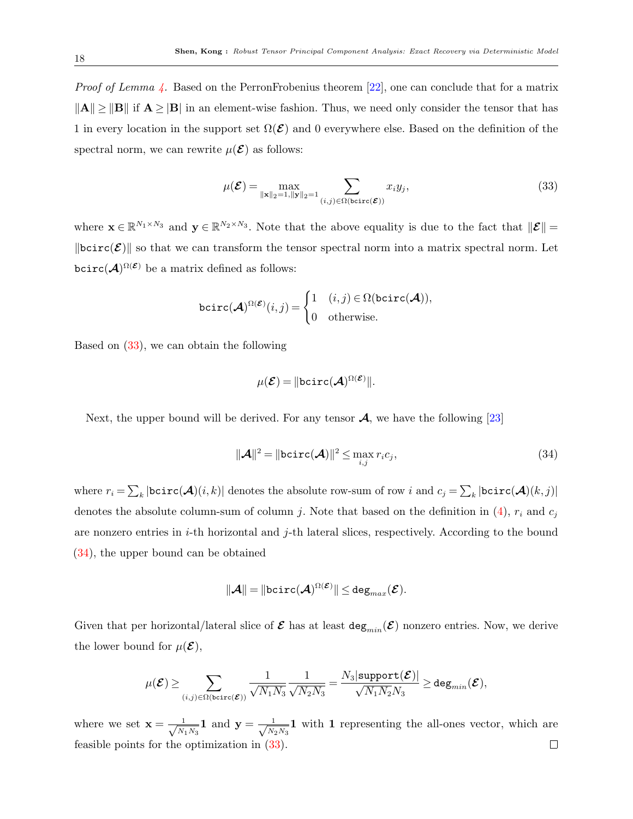*Proof of Lemma [4.](#page-9-1)* Based on the PerronFrobenius theorem  $[22]$ , one can conclude that for a matrix  $\|\mathbf{A}\| \geq \|\mathbf{B}\|$  if  $\mathbf{A} \geq |\mathbf{B}|$  in an element-wise fashion. Thus, we need only consider the tensor that has 1 in every location in the support set  $\Omega(\mathcal{E})$  and 0 everywhere else. Based on the definition of the spectral norm, we can rewrite  $\mu(\mathcal{E})$  as follows:

<span id="page-17-0"></span>
$$
\mu(\mathcal{E}) = \max_{\|\mathbf{x}\|_2 = 1, \|\mathbf{y}\|_2 = 1} \sum_{(i,j) \in \Omega(\text{bcirc}(\mathcal{E}))} x_i y_j,
$$
\n(33)

where  $\mathbf{x} \in \mathbb{R}^{N_1 \times N_3}$  and  $\mathbf{y} \in \mathbb{R}^{N_2 \times N_3}$ . Note that the above equality is due to the fact that  $\|\mathcal{E}\|$  $\|\text{bcirc}(\mathcal{E})\|$  so that we can transform the tensor spectral norm into a matrix spectral norm. Let bcirc $(A)^{\Omega(\mathcal{E})}$  be a matrix defined as follows:

$$
\texttt{bcirc}(\mathcal{A})^{\Omega(\mathcal{E})}(i,j) = \begin{cases} 1 & (i,j) \in \Omega(\texttt{bcirc}(\mathcal{A})), \\ 0 & \text{otherwise.} \end{cases}
$$

Based on [\(33\)](#page-17-0), we can obtain the following

$$
\mu(\mathcal{E}) = \|\text{bcirc}(\mathcal{A})^{\Omega(\mathcal{E})}\|.
$$

Next, the upper bound will be derived. For any tensor  $\mathcal{A}$ , we have the following [\[23\]](#page-19-14)

<span id="page-17-1"></span>
$$
\|\mathbf{A}\|^2 = \|\text{bcirc}(\mathbf{A})\|^2 \le \max_{i,j} r_i c_j,\tag{34}
$$

where  $r_i = \sum_k |\textsf{bcirc}(\bm{\mathcal{A}})(i,k)|$  denotes the absolute row-sum of row  $i$  and  $c_j = \sum_k |\textsf{bcirc}(\bm{\mathcal{A}})(k,j)|$ denotes the absolute column-sum of column j. Note that based on the definition in  $(4)$ ,  $r_i$  and  $c_j$ are nonzero entries in  $i$ -th horizontal and  $j$ -th lateral slices, respectively. According to the bound [\(34\)](#page-17-1), the upper bound can be obtained

$$
\|\boldsymbol{\mathcal{A}}\| = \| \mathtt{bcirc}(\boldsymbol{\mathcal{A}})^{\Omega(\boldsymbol{\mathcal{E}})} \| \leq \mathtt{deg}_{max}(\boldsymbol{\mathcal{E}}).
$$

Given that per horizontal/lateral slice of  $\mathcal E$  has at least  $\deg_{min}(\mathcal E)$  nonzero entries. Now, we derive the lower bound for  $\mu(\mathcal{E}),$ 

$$
\mu(\boldsymbol{\mathcal{E}})\geq \sum_{(i,j)\in \Omega(\text{bcirc}(\boldsymbol{\mathcal{E}}))}\frac{1}{\sqrt{N_1N_3}}\frac{1}{\sqrt{N_2N_3}}=\frac{N_3|\text{support}(\boldsymbol{\mathcal{E}})|}{\sqrt{N_1N_2}N_3}\geq \text{deg}_{min}(\boldsymbol{\mathcal{E}}),
$$

where we set  $\mathbf{x} = \frac{1}{\sqrt{N}}$  $\frac{1}{N_1N_3}$ **1** and  $\mathbf{y} = \frac{1}{\sqrt{N_2}}$  $\frac{1}{N_2 N_3}$  **1** with **1** representing the all-ones vector, which are feasible points for the optimization in [\(33\)](#page-17-0). $\Box$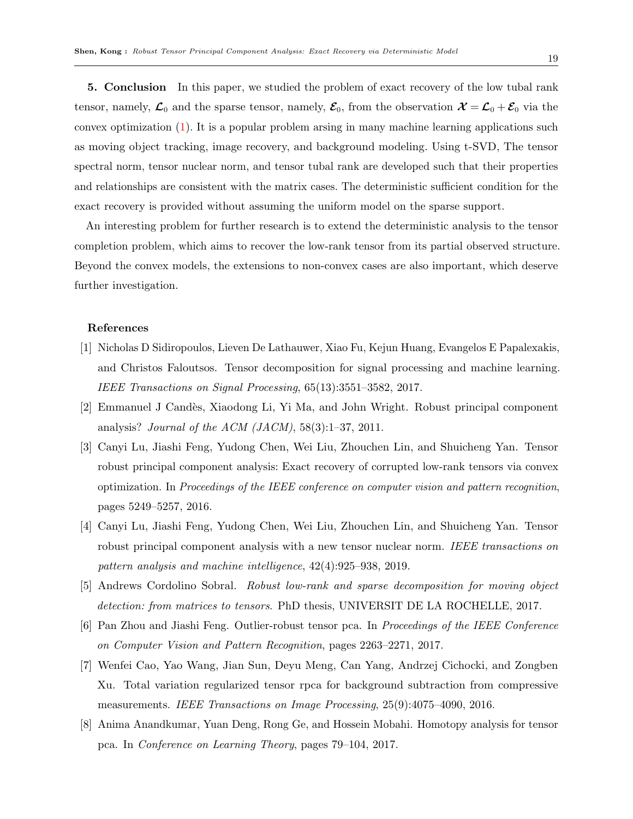<span id="page-18-8"></span>5. Conclusion In this paper, we studied the problem of exact recovery of the low tubal rank tensor, namely,  $\mathcal{L}_0$  and the sparse tensor, namely,  $\mathcal{E}_0$ , from the observation  $\mathcal{X} = \mathcal{L}_0 + \mathcal{E}_0$  via the convex optimization [\(1\)](#page-1-0). It is a popular problem arsing in many machine learning applications such as moving object tracking, image recovery, and background modeling. Using t-SVD, The tensor spectral norm, tensor nuclear norm, and tensor tubal rank are developed such that their properties and relationships are consistent with the matrix cases. The deterministic sufficient condition for the exact recovery is provided without assuming the uniform model on the sparse support.

An interesting problem for further research is to extend the deterministic analysis to the tensor completion problem, which aims to recover the low-rank tensor from its partial observed structure. Beyond the convex models, the extensions to non-convex cases are also important, which deserve further investigation.

## <span id="page-18-0"></span>References

- [1] Nicholas D Sidiropoulos, Lieven De Lathauwer, Xiao Fu, Kejun Huang, Evangelos E Papalexakis, and Christos Faloutsos. Tensor decomposition for signal processing and machine learning. IEEE Transactions on Signal Processing, 65(13):3551–3582, 2017.
- <span id="page-18-1"></span>[2] Emmanuel J Cand`es, Xiaodong Li, Yi Ma, and John Wright. Robust principal component analysis? Journal of the ACM  $(JACM)$ , 58(3):1–37, 2011.
- <span id="page-18-2"></span>[3] Canyi Lu, Jiashi Feng, Yudong Chen, Wei Liu, Zhouchen Lin, and Shuicheng Yan. Tensor robust principal component analysis: Exact recovery of corrupted low-rank tensors via convex optimization. In Proceedings of the IEEE conference on computer vision and pattern recognition, pages 5249–5257, 2016.
- <span id="page-18-3"></span>[4] Canyi Lu, Jiashi Feng, Yudong Chen, Wei Liu, Zhouchen Lin, and Shuicheng Yan. Tensor robust principal component analysis with a new tensor nuclear norm. IEEE transactions on pattern analysis and machine intelligence, 42(4):925–938, 2019.
- <span id="page-18-4"></span>[5] Andrews Cordolino Sobral. Robust low-rank and sparse decomposition for moving object detection: from matrices to tensors. PhD thesis, UNIVERSIT DE LA ROCHELLE, 2017.
- <span id="page-18-5"></span>[6] Pan Zhou and Jiashi Feng. Outlier-robust tensor pca. In Proceedings of the IEEE Conference on Computer Vision and Pattern Recognition, pages 2263–2271, 2017.
- <span id="page-18-6"></span>[7] Wenfei Cao, Yao Wang, Jian Sun, Deyu Meng, Can Yang, Andrzej Cichocki, and Zongben Xu. Total variation regularized tensor rpca for background subtraction from compressive measurements. IEEE Transactions on Image Processing, 25(9):4075–4090, 2016.
- <span id="page-18-7"></span>[8] Anima Anandkumar, Yuan Deng, Rong Ge, and Hossein Mobahi. Homotopy analysis for tensor pca. In Conference on Learning Theory, pages 79–104, 2017.